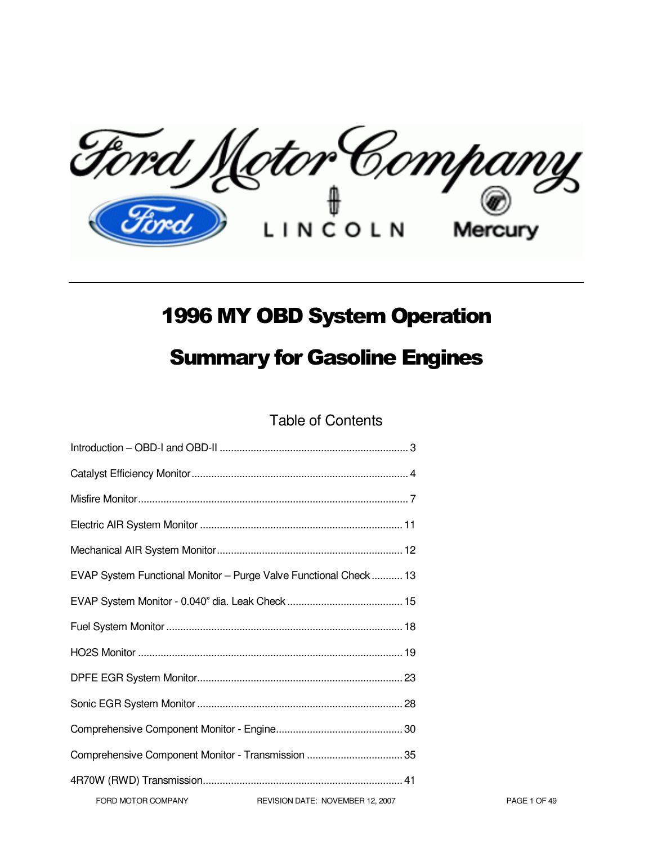Ford Motor Company Mercury

# 1996 MY OBD System Operation

# Summary for Gasoline Engines

Table of Contents

|                    | EVAP System Functional Monitor - Purge Valve Functional Check 13 |              |
|--------------------|------------------------------------------------------------------|--------------|
|                    |                                                                  |              |
|                    |                                                                  |              |
|                    |                                                                  |              |
|                    |                                                                  |              |
|                    |                                                                  |              |
|                    |                                                                  |              |
|                    | Comprehensive Component Monitor - Transmission  35               |              |
|                    |                                                                  |              |
| FORD MOTOR COMPANY | REVISION DATE: NOVEMBER 12, 2007                                 | PAGE 1 OF 49 |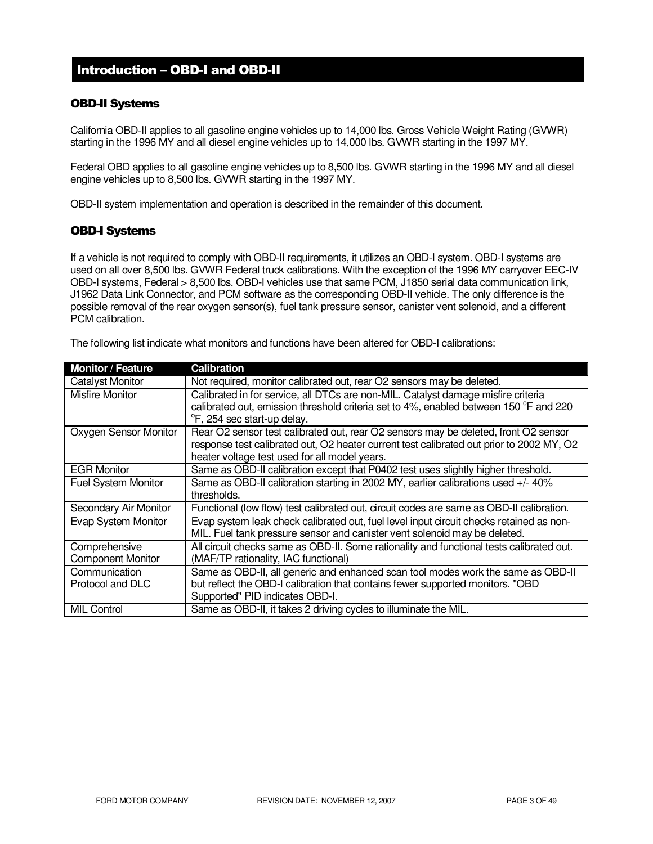### Introduction – OBD-I and OBD-II

### OBD-II Systems

California OBD-II applies to all gasoline engine vehicles up to 14,000 lbs. Gross Vehicle Weight Rating (GVWR) starting in the 1996 MY and all diesel engine vehicles up to 14,000 lbs. GVWR starting in the 1997 MY.

Federal OBD applies to all gasoline engine vehicles up to 8,500 lbs. GVWR starting in the 1996 MY and all diesel engine vehicles up to 8,500 lbs. GVWR starting in the 1997 MY.

OBD-II system implementation and operation is described in the remainder of this document.

### OBD-I Systems

If a vehicle is not required to comply with OBD-II requirements, it utilizes an OBD-I system. OBD-I systems are used on all over 8,500 lbs. GVWR Federal truck calibrations. With the exception of the 1996 MY carryover EEC-IV OBD-I systems, Federal > 8,500 lbs. OBD-I vehicles use that same PCM, J1850 serial data communication link, J1962 Data Link Connector, and PCM software as the corresponding OBD-II vehicle. The only difference is the possible removal of the rear oxygen sensor(s), fuel tank pressure sensor, canister vent solenoid, and a different PCM calibration.

The following list indicate what monitors and functions have been altered for OBD-I calibrations:

| <b>Monitor / Feature</b>   | <b>Calibration</b>                                                                       |
|----------------------------|------------------------------------------------------------------------------------------|
| <b>Catalyst Monitor</b>    | Not required, monitor calibrated out, rear O2 sensors may be deleted.                    |
| Misfire Monitor            | Calibrated in for service, all DTCs are non-MIL. Catalyst damage misfire criteria        |
|                            | calibrated out, emission threshold criteria set to 4%, enabled between 150 °F and 220    |
|                            | °F, 254 sec start-up delay.                                                              |
| Oxygen Sensor Monitor      | Rear O2 sensor test calibrated out, rear O2 sensors may be deleted, front O2 sensor      |
|                            | response test calibrated out, O2 heater current test calibrated out prior to 2002 MY, O2 |
|                            | heater voltage test used for all model years.                                            |
| <b>EGR Monitor</b>         | Same as OBD-II calibration except that P0402 test uses slightly higher threshold.        |
| <b>Fuel System Monitor</b> | Same as OBD-II calibration starting in 2002 MY, earlier calibrations used +/-40%         |
|                            | thresholds.                                                                              |
| Secondary Air Monitor      | Functional (low flow) test calibrated out, circuit codes are same as OBD-II calibration. |
| Evap System Monitor        | Evap system leak check calibrated out, fuel level input circuit checks retained as non-  |
|                            | MIL. Fuel tank pressure sensor and canister vent solenoid may be deleted.                |
| Comprehensive              | All circuit checks same as OBD-II. Some rationality and functional tests calibrated out. |
| <b>Component Monitor</b>   | (MAF/TP rationality, IAC functional)                                                     |
| Communication              | Same as OBD-II, all generic and enhanced scan tool modes work the same as OBD-II         |
| Protocol and DLC           | but reflect the OBD-I calibration that contains fewer supported monitors. "OBD           |
|                            | Supported" PID indicates OBD-I.                                                          |
| <b>MIL Control</b>         | Same as OBD-II, it takes 2 driving cycles to illuminate the MIL.                         |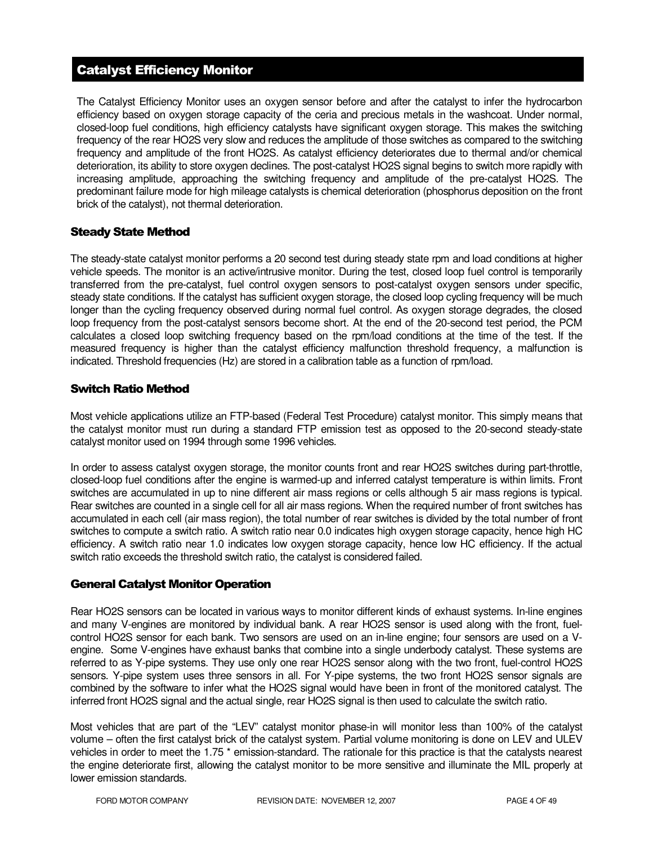# Catalyst Efficiency Monitor

The Catalyst Efficiency Monitor uses an oxygen sensor before and after the catalyst to infer the hydrocarbon efficiency based on oxygen storage capacity of the ceria and precious metals in the washcoat. Under normal, closed-loop fuel conditions, high efficiency catalysts have significant oxygen storage. This makes the switching frequency of the rear HO2S very slow and reduces the amplitude of those switches as compared to the switching frequency and amplitude of the front HO2S. As catalyst efficiency deteriorates due to thermal and/or chemical deterioration, its ability to store oxygen declines. The post-catalyst HO2S signal begins to switch more rapidly with increasing amplitude, approaching the switching frequency and amplitude of the pre-catalyst HO2S. The predominant failure mode for high mileage catalysts is chemical deterioration (phosphorus deposition on the front brick of the catalyst), not thermal deterioration.

### Steady State Method

The steady-state catalyst monitor performs a 20 second test during steady state rpm and load conditions at higher vehicle speeds. The monitor is an active/intrusive monitor. During the test, closed loop fuel control is temporarily transferred from the pre-catalyst, fuel control oxygen sensors to post-catalyst oxygen sensors under specific, steady state conditions. If the catalyst has sufficient oxygen storage, the closed loop cycling frequency will be much longer than the cycling frequency observed during normal fuel control. As oxygen storage degrades, the closed loop frequency from the post-catalyst sensors become short. At the end of the 20-second test period, the PCM calculates a closed loop switching frequency based on the rpm/load conditions at the time of the test. If the measured frequency is higher than the catalyst efficiency malfunction threshold frequency, a malfunction is indicated. Threshold frequencies (Hz) are stored in a calibration table as a function of rpm/load.

### Switch Ratio Method

Most vehicle applications utilize an FTP-based (Federal Test Procedure) catalyst monitor. This simply means that the catalyst monitor must run during a standard FTP emission test as opposed to the 20-second steady-state catalyst monitor used on 1994 through some 1996 vehicles.

In order to assess catalyst oxygen storage, the monitor counts front and rear HO2S switches during part-throttle, closed-loop fuel conditions after the engine is warmed-up and inferred catalyst temperature is within limits. Front switches are accumulated in up to nine different air mass regions or cells although 5 air mass regions is typical. Rear switches are counted in a single cell for all air mass regions. When the required number of front switches has accumulated in each cell (air mass region), the total number of rear switches is divided by the total number of front switches to compute a switch ratio. A switch ratio near 0.0 indicates high oxygen storage capacity, hence high HC efficiency. A switch ratio near 1.0 indicates low oxygen storage capacity, hence low HC efficiency. If the actual switch ratio exceeds the threshold switch ratio, the catalyst is considered failed.

### General Catalyst Monitor Operation

Rear HO2S sensors can be located in various ways to monitor different kinds of exhaust systems. In-line engines and many V-engines are monitored by individual bank. A rear HO2S sensor is used along with the front, fuelcontrol HO2S sensor for each bank. Two sensors are used on an in-line engine; four sensors are used on a Vengine. Some V-engines have exhaust banks that combine into a single underbody catalyst. These systems are referred to as Y-pipe systems. They use only one rear HO2S sensor along with the two front, fuel-control HO2S sensors. Y-pipe system uses three sensors in all. For Y-pipe systems, the two front HO2S sensor signals are combined by the software to infer what the HO2S signal would have been in front of the monitored catalyst. The inferred front HO2S signal and the actual single, rear HO2S signal is then used to calculate the switch ratio.

Most vehicles that are part of the "LEV" catalyst monitor phase-in will monitor less than 100% of the catalyst volume – often the first catalyst brick of the catalyst system. Partial volume monitoring is done on LEV and ULEV vehicles in order to meet the 1.75 \* emission-standard. The rationale for this practice is that the catalysts nearest the engine deteriorate first, allowing the catalyst monitor to be more sensitive and illuminate the MIL properly at lower emission standards.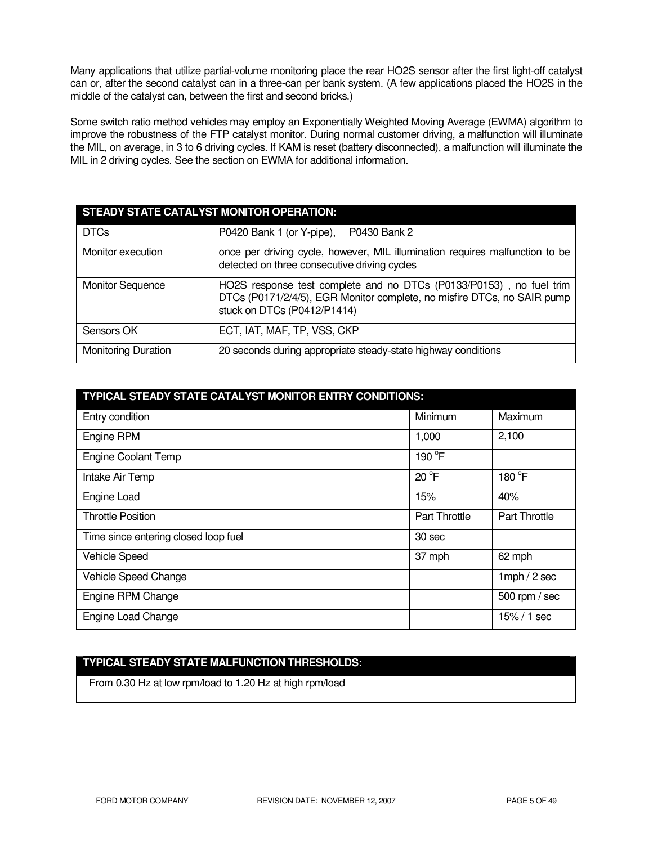Many applications that utilize partial-volume monitoring place the rear HO2S sensor after the first light-off catalyst can or, after the second catalyst can in a three-can per bank system. (A few applications placed the HO2S in the middle of the catalyst can, between the first and second bricks.)

Some switch ratio method vehicles may employ an Exponentially Weighted Moving Average (EWMA) algorithm to improve the robustness of the FTP catalyst monitor. During normal customer driving, a malfunction will illuminate the MIL, on average, in 3 to 6 driving cycles. If KAM is reset (battery disconnected), a malfunction will illuminate the MIL in 2 driving cycles. See the section on EWMA for additional information.

| STEADY STATE CATALYST MONITOR OPERATION: |                                                                                                                                                                               |  |
|------------------------------------------|-------------------------------------------------------------------------------------------------------------------------------------------------------------------------------|--|
| <b>DTCs</b>                              | P0430 Bank 2<br>P0420 Bank 1 (or Y-pipe),                                                                                                                                     |  |
| Monitor execution                        | once per driving cycle, however, MIL illumination requires malfunction to be<br>detected on three consecutive driving cycles                                                  |  |
| <b>Monitor Sequence</b>                  | HO2S response test complete and no DTCs (P0133/P0153), no fuel trim<br>DTCs (P0171/2/4/5), EGR Monitor complete, no misfire DTCs, no SAIR pump<br>stuck on DTCs (P0412/P1414) |  |
| Sensors OK                               | ECT, IAT, MAF, TP, VSS, CKP                                                                                                                                                   |  |
| <b>Monitoring Duration</b>               | 20 seconds during appropriate steady-state highway conditions                                                                                                                 |  |

| TYPICAL STEADY STATE CATALYST MONITOR ENTRY CONDITIONS: |                      |                      |
|---------------------------------------------------------|----------------------|----------------------|
| Entry condition                                         | Minimum              | Maximum              |
| Engine RPM                                              | 1,000                | 2,100                |
| <b>Engine Coolant Temp</b>                              | 190 °F               |                      |
| Intake Air Temp                                         | $20^{\circ}$ F       | 180 °F               |
| Engine Load                                             | 15%                  | 40%                  |
| <b>Throttle Position</b>                                | <b>Part Throttle</b> | <b>Part Throttle</b> |
| Time since entering closed loop fuel                    | 30 sec               |                      |
| <b>Vehicle Speed</b>                                    | 37 mph               | 62 mph               |
| Vehicle Speed Change                                    |                      | $1$ mph $/2$ sec     |
| Engine RPM Change                                       |                      | 500 rpm / sec        |
| Engine Load Change<br>$15\% / 1$ sec                    |                      |                      |

# **TYPICAL STEADY STATE MALFUNCTION THRESHOLDS:**

From 0.30 Hz at low rpm/load to 1.20 Hz at high rpm/load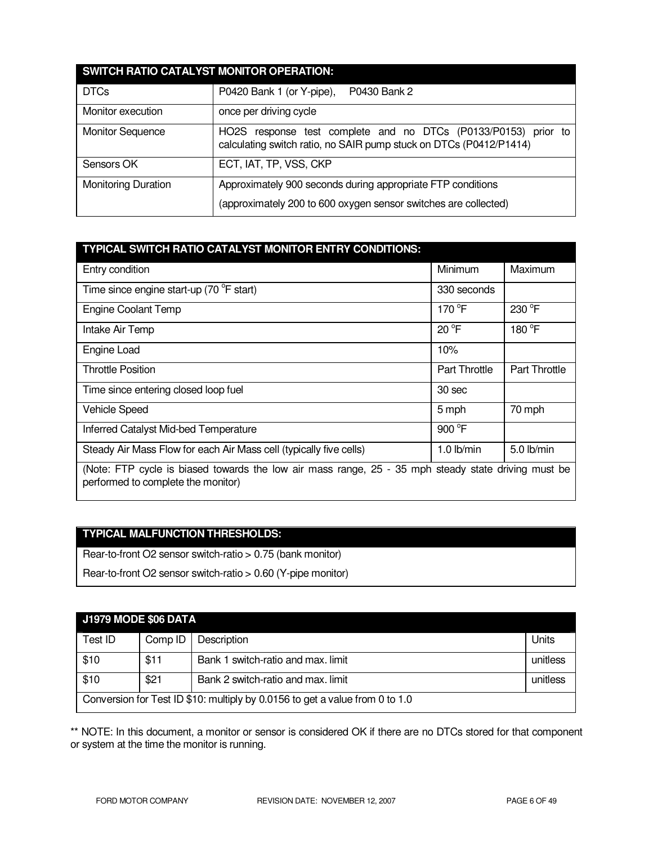| SWITCH RATIO CATALYST MONITOR OPERATION: |                                                                                                                                         |  |
|------------------------------------------|-----------------------------------------------------------------------------------------------------------------------------------------|--|
| <b>DTCs</b>                              | P0430 Bank 2<br>P0420 Bank 1 (or Y-pipe),                                                                                               |  |
| Monitor execution                        | once per driving cycle                                                                                                                  |  |
| <b>Monitor Sequence</b>                  | response test complete and no DTCs (P0133/P0153) prior to<br>HO2S<br>calculating switch ratio, no SAIR pump stuck on DTCs (P0412/P1414) |  |
| Sensors OK                               | ECT, IAT, TP, VSS, CKP                                                                                                                  |  |
| <b>Monitoring Duration</b>               | Approximately 900 seconds during appropriate FTP conditions                                                                             |  |
|                                          | (approximately 200 to 600 oxygen sensor switches are collected)                                                                         |  |

| TYPICAL SWITCH RATIO CATALYST MONITOR ENTRY CONDITIONS:                                                                                   |                      |                      |
|-------------------------------------------------------------------------------------------------------------------------------------------|----------------------|----------------------|
| Entry condition                                                                                                                           | Minimum              | Maximum              |
| Time since engine start-up (70 °F start)                                                                                                  | 330 seconds          |                      |
| <b>Engine Coolant Temp</b>                                                                                                                | 170 $\degree$ F      | 230 °F               |
| Intake Air Temp                                                                                                                           | $20^{\circ}F$        | 180 °F               |
| Engine Load                                                                                                                               | 10%                  |                      |
| <b>Throttle Position</b>                                                                                                                  | <b>Part Throttle</b> | <b>Part Throttle</b> |
| Time since entering closed loop fuel                                                                                                      | 30 sec               |                      |
| <b>Vehicle Speed</b>                                                                                                                      | 5 mph                | 70 mph               |
| Inferred Catalyst Mid-bed Temperature                                                                                                     | 900 $\degree$ F      |                      |
| Steady Air Mass Flow for each Air Mass cell (typically five cells)                                                                        | $1.0$ lb/min         | $5.0$ lb/min         |
| (Note: FTP cycle is biased towards the low air mass range, 25 - 35 mph steady state driving must be<br>performed to complete the monitor) |                      |                      |

# **TYPICAL MALFUNCTION THRESHOLDS:**

Rear-to-front O2 sensor switch-ratio > 0.75 (bank monitor)

Rear-to-front O2 sensor switch-ratio > 0.60 (Y-pipe monitor)

| <b>J1979 MODE \$06 DATA</b>                                                  |         |                                    |          |
|------------------------------------------------------------------------------|---------|------------------------------------|----------|
| Test ID                                                                      | Comp ID | Description                        | Units    |
| \$10                                                                         | \$11    | Bank 1 switch-ratio and max. limit | unitless |
| \$10                                                                         | \$21    | Bank 2 switch-ratio and max. limit | unitless |
| Conversion for Test ID \$10: multiply by 0.0156 to get a value from 0 to 1.0 |         |                                    |          |

\*\* NOTE: In this document, a monitor or sensor is considered OK if there are no DTCs stored for that component or system at the time the monitor is running.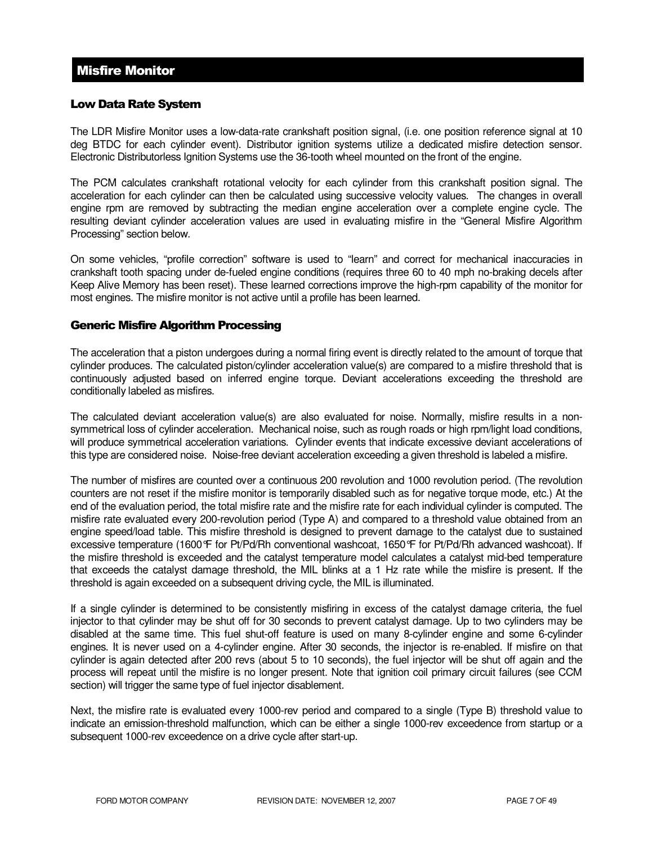# Misfire Monitor

### Low Data Rate System

The LDR Misfire Monitor uses a low-data-rate crankshaft position signal, (i.e. one position reference signal at 10 deg BTDC for each cylinder event). Distributor ignition systems utilize a dedicated misfire detection sensor. Electronic Distributorless Ignition Systems use the 36-tooth wheel mounted on the front of the engine.

The PCM calculates crankshaft rotational velocity for each cylinder from this crankshaft position signal. The acceleration for each cylinder can then be calculated using successive velocity values. The changes in overall engine rpm are removed by subtracting the median engine acceleration over a complete engine cycle. The resulting deviant cylinder acceleration values are used in evaluating misfire in the "General Misfire Algorithm Processing" section below.

On some vehicles, "profile correction" software is used to "learn" and correct for mechanical inaccuracies in crankshaft tooth spacing under de-fueled engine conditions (requires three 60 to 40 mph no-braking decels after Keep Alive Memory has been reset). These learned corrections improve the high-rpm capability of the monitor for most engines. The misfire monitor is not active until a profile has been learned.

### Generic Misfire Algorithm Processing

The acceleration that a piston undergoes during a normal firing event is directly related to the amount of torque that cylinder produces. The calculated piston/cylinder acceleration value(s) are compared to a misfire threshold that is continuously adjusted based on inferred engine torque. Deviant accelerations exceeding the threshold are conditionally labeled as misfires.

The calculated deviant acceleration value(s) are also evaluated for noise. Normally, misfire results in a nonsymmetrical loss of cylinder acceleration. Mechanical noise, such as rough roads or high rpm/light load conditions, will produce symmetrical acceleration variations. Cylinder events that indicate excessive deviant accelerations of this type are considered noise. Noise-free deviant acceleration exceeding a given threshold is labeled a misfire.

The number of misfires are counted over a continuous 200 revolution and 1000 revolution period. (The revolution counters are not reset if the misfire monitor is temporarily disabled such as for negative torque mode, etc.) At the end of the evaluation period, the total misfire rate and the misfire rate for each individual cylinder is computed. The misfire rate evaluated every 200-revolution period (Type A) and compared to a threshold value obtained from an engine speed/load table. This misfire threshold is designed to prevent damage to the catalyst due to sustained excessive temperature (1600°F for Pt/Pd/Rh conventional washcoat, 1650°F for Pt/Pd/Rh advanced washcoat). If the misfire threshold is exceeded and the catalyst temperature model calculates a catalyst mid-bed temperature that exceeds the catalyst damage threshold, the MIL blinks at a 1 Hz rate while the misfire is present. If the threshold is again exceeded on a subsequent driving cycle, the MIL is illuminated.

If a single cylinder is determined to be consistently misfiring in excess of the catalyst damage criteria, the fuel injector to that cylinder may be shut off for 30 seconds to prevent catalyst damage. Up to two cylinders may be disabled at the same time. This fuel shut-off feature is used on many 8-cylinder engine and some 6-cylinder engines. It is never used on a 4-cylinder engine. After 30 seconds, the injector is re-enabled. If misfire on that cylinder is again detected after 200 revs (about 5 to 10 seconds), the fuel injector will be shut off again and the process will repeat until the misfire is no longer present. Note that ignition coil primary circuit failures (see CCM section) will trigger the same type of fuel injector disablement.

Next, the misfire rate is evaluated every 1000-rev period and compared to a single (Type B) threshold value to indicate an emission-threshold malfunction, which can be either a single 1000-rev exceedence from startup or a subsequent 1000-rev exceedence on a drive cycle after start-up.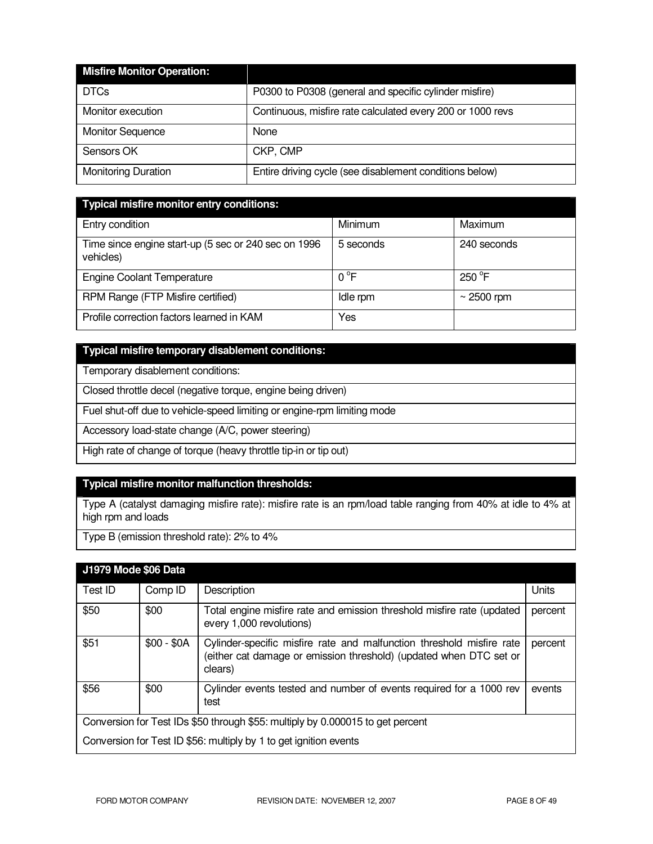| <b>Misfire Monitor Operation:</b> |                                                            |
|-----------------------------------|------------------------------------------------------------|
| <b>DTCs</b>                       | P0300 to P0308 (general and specific cylinder misfire)     |
| Monitor execution                 | Continuous, misfire rate calculated every 200 or 1000 revs |
| <b>Monitor Sequence</b>           | None                                                       |
| Sensors OK                        | CKP, CMP                                                   |
| <b>Monitoring Duration</b>        | Entire driving cycle (see disablement conditions below)    |

| <b>Typical misfire monitor entry conditions:</b>                   |              |                 |
|--------------------------------------------------------------------|--------------|-----------------|
| Entry condition                                                    | Minimum      | Maximum         |
| Time since engine start-up (5 sec or 240 sec on 1996)<br>vehicles) | 5 seconds    | 240 seconds     |
| <b>Engine Coolant Temperature</b>                                  | $0^{\circ}F$ | $250^{\circ}$ F |
| RPM Range (FTP Misfire certified)                                  | Idle rpm     | $\sim$ 2500 rpm |
| Profile correction factors learned in KAM                          | Yes          |                 |

### **Typical misfire temporary disablement conditions:**

Temporary disablement conditions:

Closed throttle decel (negative torque, engine being driven)

Fuel shut-off due to vehicle-speed limiting or engine-rpm limiting mode

Accessory load-state change (A/C, power steering)

High rate of change of torque (heavy throttle tip-in or tip out)

# **Typical misfire monitor malfunction thresholds:**

Type A (catalyst damaging misfire rate): misfire rate is an rpm/load table ranging from 40% at idle to 4% at high rpm and loads

Type B (emission threshold rate): 2% to 4%

| J1979 Mode \$06 Data                                                           |             |                                                                                                                                                        |         |
|--------------------------------------------------------------------------------|-------------|--------------------------------------------------------------------------------------------------------------------------------------------------------|---------|
| Test ID                                                                        | Comp ID     | Description                                                                                                                                            | Units   |
| \$50                                                                           | \$00        | Total engine misfire rate and emission threshold misfire rate (updated<br>every 1,000 revolutions)                                                     | percent |
| \$51                                                                           | $$00 - $0A$ | Cylinder-specific misfire rate and malfunction threshold misfire rate<br>(either cat damage or emission threshold) (updated when DTC set or<br>clears) | percent |
| \$56                                                                           | \$00        | Cylinder events tested and number of events required for a 1000 rev<br>test                                                                            | events  |
| Conversion for Test IDs \$50 through \$55: multiply by 0.000015 to get percent |             |                                                                                                                                                        |         |
| Conversion for Test ID \$56: multiply by 1 to get ignition events              |             |                                                                                                                                                        |         |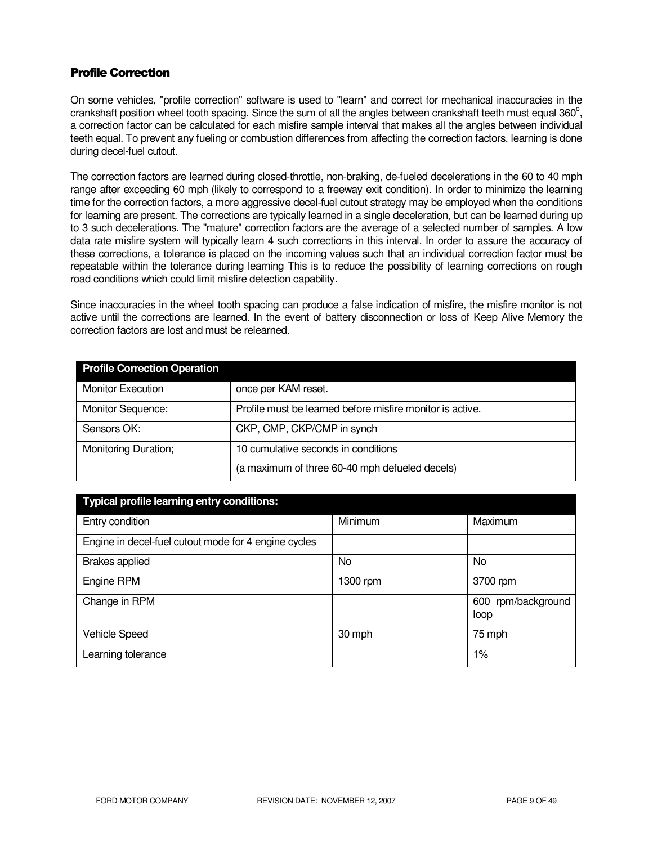### Profile Correction

On some vehicles, "profile correction" software is used to "learn" and correct for mechanical inaccuracies in the crankshaft position wheel tooth spacing. Since the sum of all the angles between crankshaft teeth must equal  $360^{\circ}$ , a correction factor can be calculated for each misfire sample interval that makes all the angles between individual teeth equal. To prevent any fueling or combustion differences from affecting the correction factors, learning is done during decel-fuel cutout.

The correction factors are learned during closed-throttle, non-braking, de-fueled decelerations in the 60 to 40 mph range after exceeding 60 mph (likely to correspond to a freeway exit condition). In order to minimize the learning time for the correction factors, a more aggressive decel-fuel cutout strategy may be employed when the conditions for learning are present. The corrections are typically learned in a single deceleration, but can be learned during up to 3 such decelerations. The "mature" correction factors are the average of a selected number of samples. A low data rate misfire system will typically learn 4 such corrections in this interval. In order to assure the accuracy of these corrections, a tolerance is placed on the incoming values such that an individual correction factor must be repeatable within the tolerance during learning This is to reduce the possibility of learning corrections on rough road conditions which could limit misfire detection capability.

Since inaccuracies in the wheel tooth spacing can produce a false indication of misfire, the misfire monitor is not active until the corrections are learned. In the event of battery disconnection or loss of Keep Alive Memory the correction factors are lost and must be relearned.

| <b>Profile Correction Operation</b> |                                                           |  |
|-------------------------------------|-----------------------------------------------------------|--|
| <b>Monitor Execution</b>            | once per KAM reset.                                       |  |
| Monitor Sequence:                   | Profile must be learned before misfire monitor is active. |  |
| Sensors OK:                         | CKP, CMP, CKP/CMP in synch                                |  |
| Monitoring Duration;                | 10 cumulative seconds in conditions                       |  |
|                                     | (a maximum of three 60-40 mph defueled decels)            |  |

| Typical profile learning entry conditions:           |          |                               |
|------------------------------------------------------|----------|-------------------------------|
| Entry condition                                      | Minimum  | Maximum                       |
| Engine in decel-fuel cutout mode for 4 engine cycles |          |                               |
| <b>Brakes applied</b>                                | No       | No                            |
| Engine RPM                                           | 1300 rpm | 3700 rpm                      |
| Change in RPM                                        |          | rpm/background<br>600<br>loop |
| <b>Vehicle Speed</b>                                 | 30 mph   | 75 mph                        |
| Learning tolerance                                   |          | 1%                            |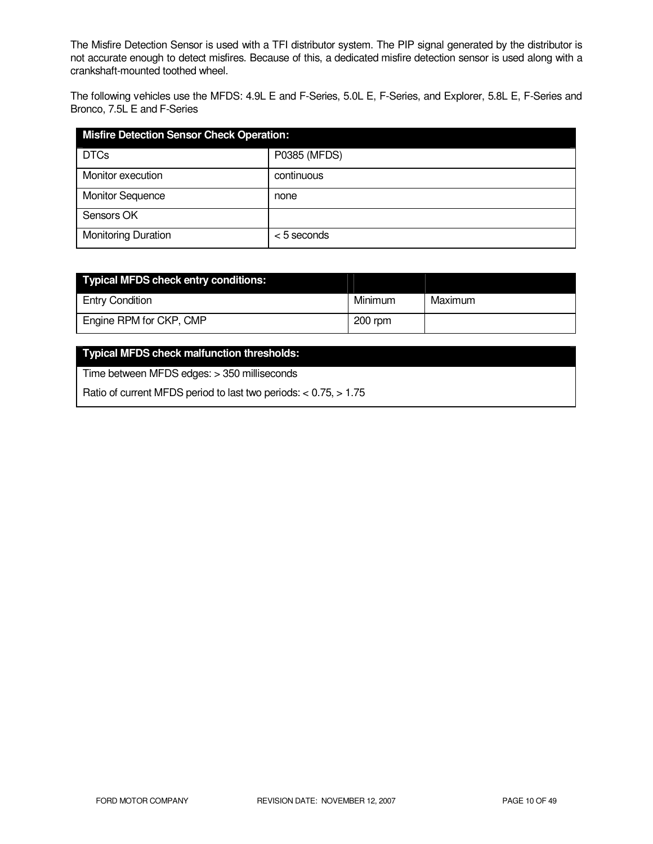The Misfire Detection Sensor is used with a TFI distributor system. The PIP signal generated by the distributor is not accurate enough to detect misfires. Because of this, a dedicated misfire detection sensor is used along with a crankshaft-mounted toothed wheel.

The following vehicles use the MFDS: 4.9L E and F-Series, 5.0L E, F-Series, and Explorer, 5.8L E, F-Series and Bronco, 7.5L E and F-Series

| <b>Misfire Detection Sensor Check Operation:</b> |               |  |
|--------------------------------------------------|---------------|--|
| <b>DTCs</b>                                      | P0385 (MFDS)  |  |
| Monitor execution                                | continuous    |  |
| <b>Monitor Sequence</b>                          | none          |  |
| Sensors OK                                       |               |  |
| <b>Monitoring Duration</b>                       | $< 5$ seconds |  |

| Typical MFDS check entry conditions: |           |         |
|--------------------------------------|-----------|---------|
| <b>Entry Condition</b>               | Minimum   | Maximum |
| Engine RPM for CKP, CMP              | $200$ rpm |         |

# **Typical MFDS check malfunction thresholds:**

Time between MFDS edges: > 350 milliseconds

Ratio of current MFDS period to last two periods: < 0.75, > 1.75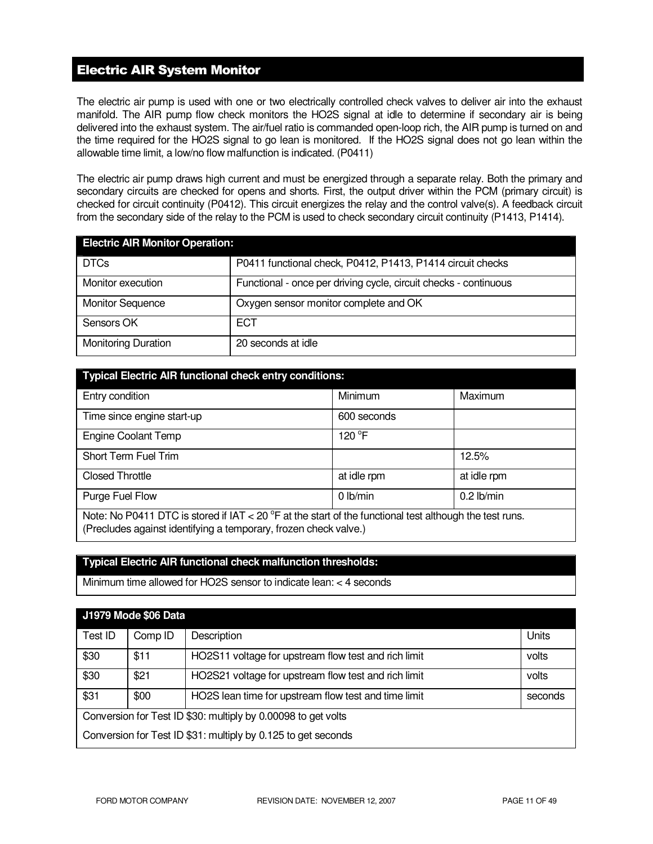# Electric AIR System Monitor

The electric air pump is used with one or two electrically controlled check valves to deliver air into the exhaust manifold. The AIR pump flow check monitors the HO2S signal at idle to determine if secondary air is being delivered into the exhaust system. The air/fuel ratio is commanded open-loop rich, the AIR pump is turned on and the time required for the HO2S signal to go lean is monitored. If the HO2S signal does not go lean within the allowable time limit, a low/no flow malfunction is indicated. (P0411)

The electric air pump draws high current and must be energized through a separate relay. Both the primary and secondary circuits are checked for opens and shorts. First, the output driver within the PCM (primary circuit) is checked for circuit continuity (P0412). This circuit energizes the relay and the control valve(s). A feedback circuit from the secondary side of the relay to the PCM is used to check secondary circuit continuity (P1413, P1414).

| <b>Electric AIR Monitor Operation:</b> |                                                                  |  |
|----------------------------------------|------------------------------------------------------------------|--|
| <b>DTCs</b>                            | P0411 functional check, P0412, P1413, P1414 circuit checks       |  |
| Monitor execution                      | Functional - once per driving cycle, circuit checks - continuous |  |
| <b>Monitor Sequence</b>                | Oxygen sensor monitor complete and OK                            |  |
| Sensors OK                             | <b>ECT</b>                                                       |  |
| <b>Monitoring Duration</b>             | 20 seconds at idle                                               |  |

| <b>Typical Electric AIR functional check entry conditions:</b>                                                                                                                |             |              |  |
|-------------------------------------------------------------------------------------------------------------------------------------------------------------------------------|-------------|--------------|--|
| Entry condition                                                                                                                                                               | Minimum     | Maximum      |  |
| Time since engine start-up                                                                                                                                                    | 600 seconds |              |  |
| <b>Engine Coolant Temp</b>                                                                                                                                                    | 120 °F      |              |  |
| Short Term Fuel Trim                                                                                                                                                          |             | 12.5%        |  |
| <b>Closed Throttle</b>                                                                                                                                                        | at idle rpm | at idle rpm  |  |
| Purge Fuel Flow                                                                                                                                                               | 0 lb/min    | $0.2$ lb/min |  |
| Note: No P0411 DTC is stored if $IAT < 20$ °F at the start of the functional test although the test runs.<br>(Precludes against identifying a temporary, frozen check valve.) |             |              |  |

### **Typical Electric AIR functional check malfunction thresholds:**

Minimum time allowed for HO2S sensor to indicate lean: < 4 seconds

| <b>J1979 Mode \$06 Data</b>                                   |         |                                                      |         |
|---------------------------------------------------------------|---------|------------------------------------------------------|---------|
| Test ID                                                       | Comp ID | Description                                          | Units   |
| \$30                                                          | \$11    | HO2S11 voltage for upstream flow test and rich limit | volts   |
| \$30                                                          | \$21    | HO2S21 voltage for upstream flow test and rich limit | volts   |
| \$31                                                          | \$00    | HO2S lean time for upstream flow test and time limit | seconds |
| Conversion for Test ID \$30: multiply by 0.00098 to get volts |         |                                                      |         |
| Conversion for Test ID \$31: multiply by 0.125 to get seconds |         |                                                      |         |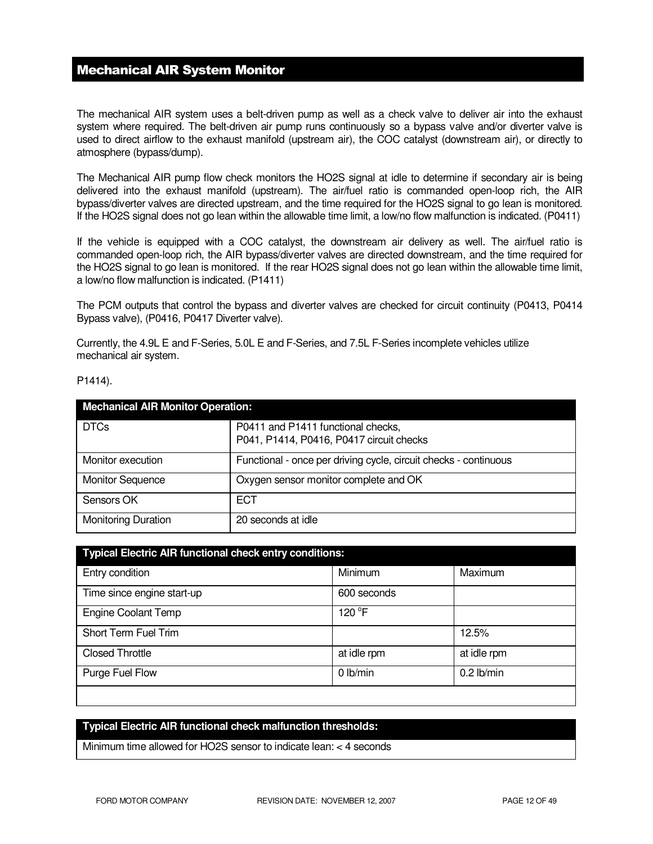### Mechanical AIR System Monitor

The mechanical AIR system uses a belt-driven pump as well as a check valve to deliver air into the exhaust system where required. The belt-driven air pump runs continuously so a bypass valve and/or diverter valve is used to direct airflow to the exhaust manifold (upstream air), the COC catalyst (downstream air), or directly to atmosphere (bypass/dump).

The Mechanical AIR pump flow check monitors the HO2S signal at idle to determine if secondary air is being delivered into the exhaust manifold (upstream). The air/fuel ratio is commanded open-loop rich, the AIR bypass/diverter valves are directed upstream, and the time required for the HO2S signal to go lean is monitored. If the HO2S signal does not go lean within the allowable time limit, a low/no flow malfunction is indicated. (P0411)

If the vehicle is equipped with a COC catalyst, the downstream air delivery as well. The air/fuel ratio is commanded open-loop rich, the AIR bypass/diverter valves are directed downstream, and the time required for the HO2S signal to go lean is monitored. If the rear HO2S signal does not go lean within the allowable time limit, a low/no flow malfunction is indicated. (P1411)

The PCM outputs that control the bypass and diverter valves are checked for circuit continuity (P0413, P0414 Bypass valve), (P0416, P0417 Diverter valve).

Currently, the 4.9L E and F-Series, 5.0L E and F-Series, and 7.5L F-Series incomplete vehicles utilize mechanical air system.

| <b>Mechanical AIR Monitor Operation:</b> |                                                                                |  |
|------------------------------------------|--------------------------------------------------------------------------------|--|
| <b>DTCs</b>                              | P0411 and P1411 functional checks,<br>P041, P1414, P0416, P0417 circuit checks |  |
| Monitor execution                        | Functional - once per driving cycle, circuit checks - continuous               |  |
| <b>Monitor Sequence</b>                  | Oxygen sensor monitor complete and OK                                          |  |
| Sensors OK                               | <b>ECT</b>                                                                     |  |
| <b>Monitoring Duration</b>               | 20 seconds at idle                                                             |  |

| <b>Typical Electric AIR functional check entry conditions:</b> |             |              |  |
|----------------------------------------------------------------|-------------|--------------|--|
| Entry condition                                                | Minimum     | Maximum      |  |
| Time since engine start-up                                     | 600 seconds |              |  |
| <b>Engine Coolant Temp</b>                                     | 120 °F      |              |  |
| Short Term Fuel Trim                                           |             | 12.5%        |  |
| <b>Closed Throttle</b>                                         | at idle rpm | at idle rpm  |  |
| Purge Fuel Flow                                                | 0 lb/min    | $0.2$ lb/min |  |
|                                                                |             |              |  |

### **Typical Electric AIR functional check malfunction thresholds:**

Minimum time allowed for HO2S sensor to indicate lean: < 4 seconds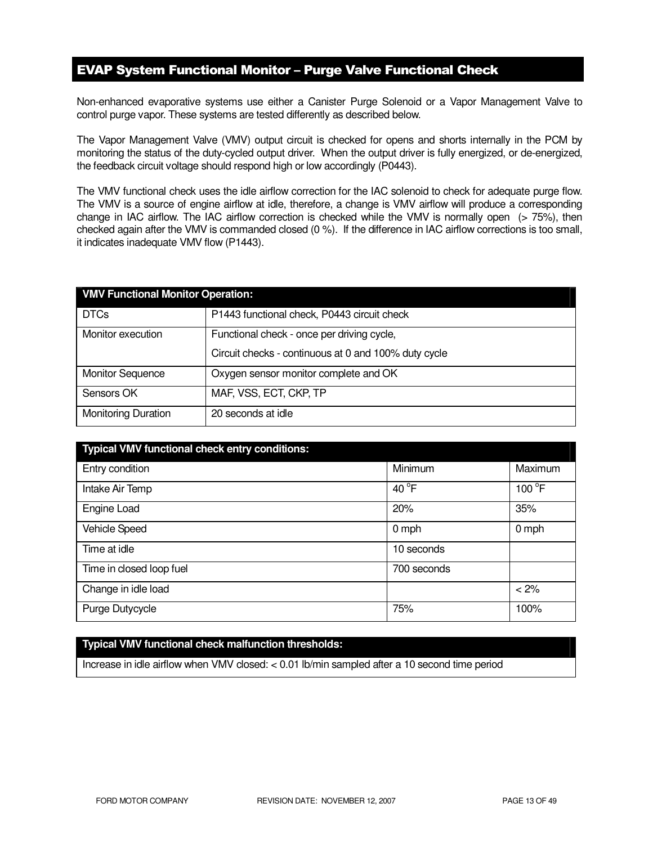# EVAP System Functional Monitor – Purge Valve Functional Check

Non-enhanced evaporative systems use either a Canister Purge Solenoid or a Vapor Management Valve to control purge vapor. These systems are tested differently as described below.

The Vapor Management Valve (VMV) output circuit is checked for opens and shorts internally in the PCM by monitoring the status of the duty-cycled output driver. When the output driver is fully energized, or de-energized, the feedback circuit voltage should respond high or low accordingly (P0443).

The VMV functional check uses the idle airflow correction for the IAC solenoid to check for adequate purge flow. The VMV is a source of engine airflow at idle, therefore, a change is VMV airflow will produce a corresponding change in IAC airflow. The IAC airflow correction is checked while the VMV is normally open (> 75%), then checked again after the VMV is commanded closed (0 %). If the difference in IAC airflow corrections is too small, it indicates inadequate VMV flow (P1443).

| <b>VMV Functional Monitor Operation:</b> |                                                      |  |
|------------------------------------------|------------------------------------------------------|--|
| <b>DTCs</b>                              | P1443 functional check, P0443 circuit check          |  |
| Monitor execution                        | Functional check - once per driving cycle,           |  |
|                                          | Circuit checks - continuous at 0 and 100% duty cycle |  |
| <b>Monitor Sequence</b>                  | Oxygen sensor monitor complete and OK                |  |
| Sensors OK                               | MAF, VSS, ECT, CKP, TP                               |  |
| <b>Monitoring Duration</b>               | 20 seconds at idle                                   |  |

| Typical VMV functional check entry conditions: |                 |                 |
|------------------------------------------------|-----------------|-----------------|
| Entry condition                                | Minimum         | Maximum         |
| Intake Air Temp                                | 40 $^{\circ}$ F | $100^{\circ}$ F |
| Engine Load                                    | 20%             | 35%             |
| <b>Vehicle Speed</b>                           | $0$ mph         | $0$ mph         |
| Time at idle                                   | 10 seconds      |                 |
| Time in closed loop fuel                       | 700 seconds     |                 |
| Change in idle load                            |                 | < 2%            |
| Purge Dutycycle                                | 75%             | 100%            |

### **Typical VMV functional check malfunction thresholds:**

Increase in idle airflow when VMV closed: < 0.01 lb/min sampled after a 10 second time period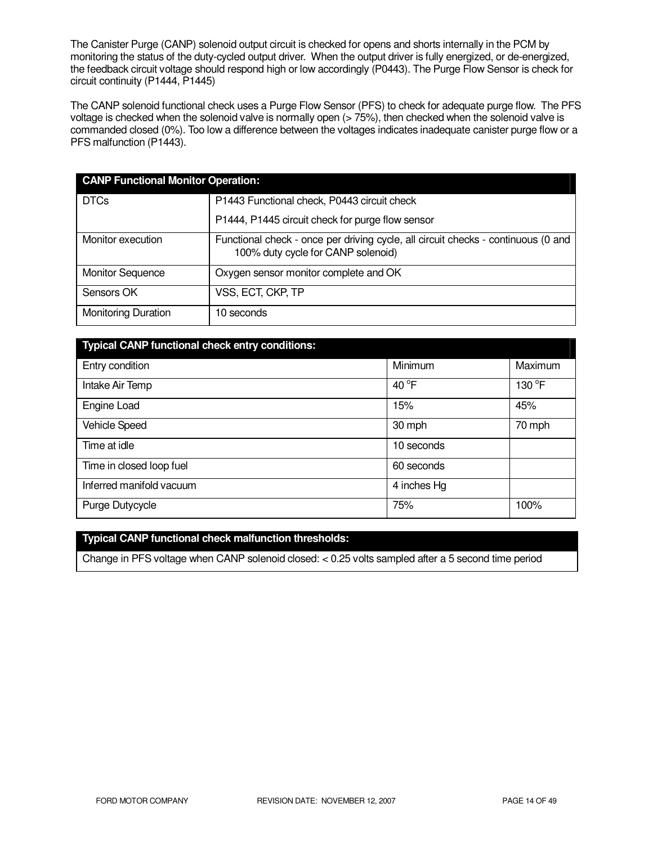The Canister Purge (CANP) solenoid output circuit is checked for opens and shorts internally in the PCM by monitoring the status of the duty-cycled output driver. When the output driver is fully energized, or de-energized, the feedback circuit voltage should respond high or low accordingly (P0443). The Purge Flow Sensor is check for circuit continuity (P1444, P1445)

The CANP solenoid functional check uses a Purge Flow Sensor (PFS) to check for adequate purge flow. The PFS voltage is checked when the solenoid valve is normally open (> 75%), then checked when the solenoid valve is commanded closed (0%). Too low a difference between the voltages indicates inadequate canister purge flow or a PFS malfunction (P1443).

| <b>CANP Functional Monitor Operation:</b> |                                                                                                                         |  |  |
|-------------------------------------------|-------------------------------------------------------------------------------------------------------------------------|--|--|
| <b>DTCs</b>                               | P1443 Functional check, P0443 circuit check                                                                             |  |  |
|                                           | P1444, P1445 circuit check for purge flow sensor                                                                        |  |  |
| Monitor execution                         | Functional check - once per driving cycle, all circuit checks - continuous (0 and<br>100% duty cycle for CANP solenoid) |  |  |
| <b>Monitor Sequence</b>                   | Oxygen sensor monitor complete and OK                                                                                   |  |  |
| Sensors OK                                | VSS, ECT, CKP, TP                                                                                                       |  |  |
| <b>Monitoring Duration</b>                | 10 seconds                                                                                                              |  |  |

| <b>Typical CANP functional check entry conditions:</b> |             |         |
|--------------------------------------------------------|-------------|---------|
| Entry condition                                        | Minimum     | Maximum |
| Intake Air Temp                                        | 40 °F       | 130 °F  |
| Engine Load                                            | 15%         | 45%     |
| Vehicle Speed                                          | 30 mph      | 70 mph  |
| Time at idle                                           | 10 seconds  |         |
| Time in closed loop fuel                               | 60 seconds  |         |
| Inferred manifold vacuum                               | 4 inches Hg |         |
| Purge Dutycycle                                        | 75%         | 100%    |

### **Typical CANP functional check malfunction thresholds:**

Change in PFS voltage when CANP solenoid closed: < 0.25 volts sampled after a 5 second time period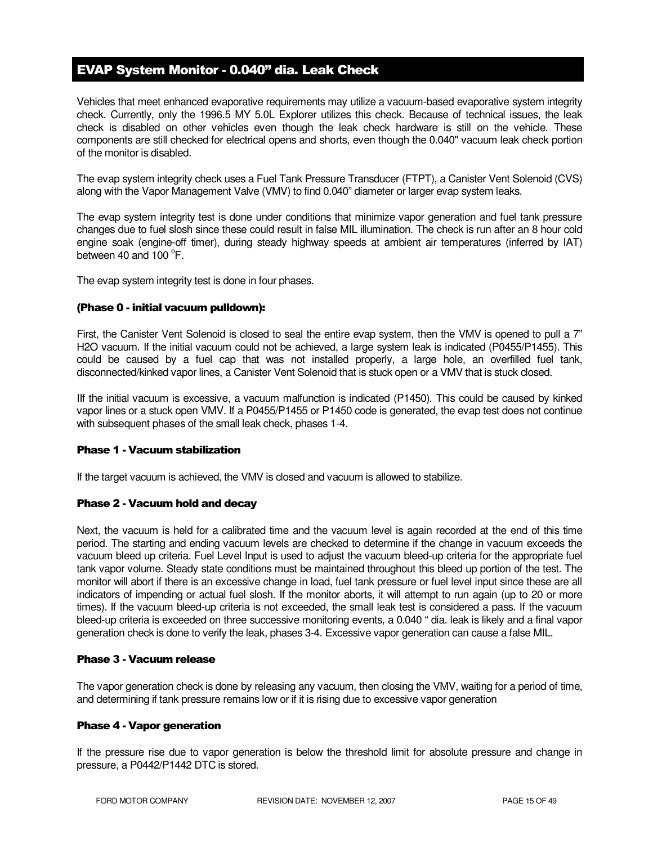# EVAP System Monitor - 0.040" dia. Leak Check

Vehicles that meet enhanced evaporative requirements may utilize a vacuum-based evaporative system integrity check. Currently, only the 1996.5 MY 5.0L Explorer utilizes this check. Because of technical issues, the leak check is disabled on other vehicles even though the leak check hardware is still on the vehicle. These components are still checked for electrical opens and shorts, even though the 0.040" vacuum leak check portion of the monitor is disabled.

The evap system integrity check uses a Fuel Tank Pressure Transducer (FTPT), a Canister Vent Solenoid (CVS) along with the Vapor Management Valve (VMV) to find 0.040" diameter or larger evap system leaks.

The evap system integrity test is done under conditions that minimize vapor generation and fuel tank pressure changes due to fuel slosh since these could result in false MIL illumination. The check is run after an 8 hour cold engine soak (engine-off timer), during steady highway speeds at ambient air temperatures (inferred by IAT) between 40 and  $100^{\circ}$ F.

The evap system integrity test is done in four phases.

#### (Phase 0 - initial vacuum pulldown):

First, the Canister Vent Solenoid is closed to seal the entire evap system, then the VMV is opened to pull a 7" H2O vacuum. If the initial vacuum could not be achieved, a large system leak is indicated (P0455/P1455). This could be caused by a fuel cap that was not installed properly, a large hole, an overfilled fuel tank, disconnected/kinked vapor lines, a Canister Vent Solenoid that is stuck open or a VMV that is stuck closed.

IIf the initial vacuum is excessive, a vacuum malfunction is indicated (P1450). This could be caused by kinked vapor lines or a stuck open VMV. If a P0455/P1455 or P1450 code is generated, the evap test does not continue with subsequent phases of the small leak check, phases 1-4.

#### Phase 1 - Vacuum stabilization

If the target vacuum is achieved, the VMV is closed and vacuum is allowed to stabilize.

#### Phase 2 - Vacuum hold and decay

Next, the vacuum is held for a calibrated time and the vacuum level is again recorded at the end of this time period. The starting and ending vacuum levels are checked to determine if the change in vacuum exceeds the vacuum bleed up criteria. Fuel Level Input is used to adjust the vacuum bleed-up criteria for the appropriate fuel tank vapor volume. Steady state conditions must be maintained throughout this bleed up portion of the test. The monitor will abort if there is an excessive change in load, fuel tank pressure or fuel level input since these are all indicators of impending or actual fuel slosh. If the monitor aborts, it will attempt to run again (up to 20 or more times). If the vacuum bleed-up criteria is not exceeded, the small leak test is considered a pass. If the vacuum bleed-up criteria is exceeded on three successive monitoring events, a 0.040 " dia. leak is likely and a final vapor generation check is done to verify the leak, phases 3-4. Excessive vapor generation can cause a false MIL.

#### Phase 3 - Vacuum release

The vapor generation check is done by releasing any vacuum, then closing the VMV, waiting for a period of time, and determining if tank pressure remains low or if it is rising due to excessive vapor generation

#### Phase 4 - Vapor generation

If the pressure rise due to vapor generation is below the threshold limit for absolute pressure and change in pressure, a P0442/P1442 DTC is stored.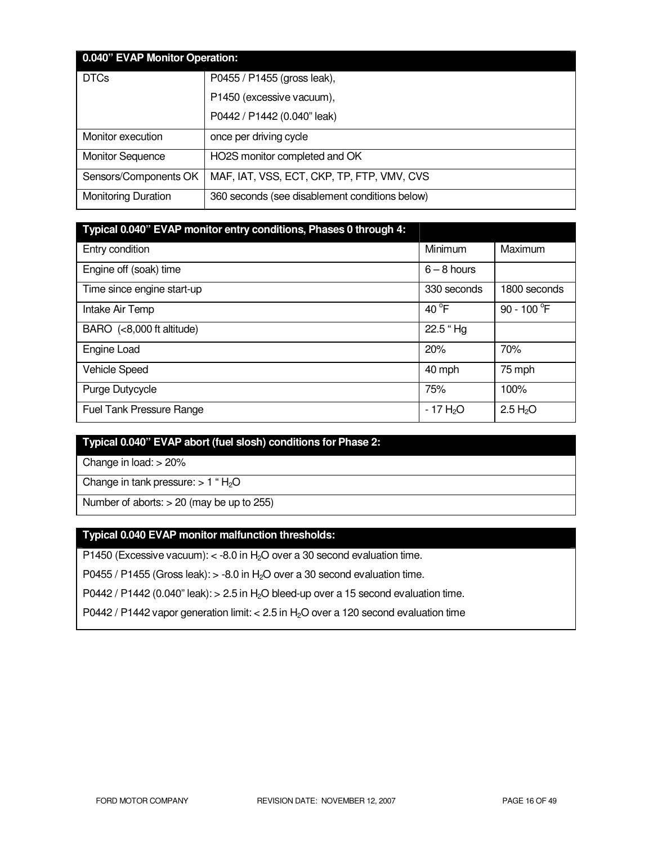| 0.040" EVAP Monitor Operation: |                                                |  |
|--------------------------------|------------------------------------------------|--|
| <b>DTCs</b>                    | P0455 / P1455 (gross leak),                    |  |
|                                | P1450 (excessive vacuum),                      |  |
|                                | P0442 / P1442 (0.040" leak)                    |  |
| Monitor execution              | once per driving cycle                         |  |
| <b>Monitor Sequence</b>        | HO2S monitor completed and OK                  |  |
| Sensors/Components OK          | MAF, IAT, VSS, ECT, CKP, TP, FTP, VMV, CVS     |  |
| <b>Monitoring Duration</b>     | 360 seconds (see disablement conditions below) |  |

| Typical 0.040" EVAP monitor entry conditions, Phases 0 through 4: |               |                      |
|-------------------------------------------------------------------|---------------|----------------------|
| Entry condition                                                   | Minimum       | Maximum              |
| Engine off (soak) time                                            | $6 - 8$ hours |                      |
| Time since engine start-up                                        | 330 seconds   | 1800 seconds         |
| Intake Air Temp                                                   | 40 °F         | 90 - 100 °F          |
| BARO (<8,000 ft altitude)                                         | 22.5 "Hg      |                      |
| <b>Engine Load</b>                                                | 20%           | 70%                  |
| <b>Vehicle Speed</b>                                              | 40 mph        | 75 mph               |
| Purge Dutycycle                                                   | 75%           | 100%                 |
| <b>Fuel Tank Pressure Range</b>                                   | $-17 H2O$     | 2.5 H <sub>2</sub> O |

# **Typical 0.040" EVAP abort (fuel slosh) conditions for Phase 2:**

Change in load: > 20%

Change in tank pressure:  $> 1$  " H<sub>2</sub>O

Number of aborts: > 20 (may be up to 255)

# **Typical 0.040 EVAP monitor malfunction thresholds:**

P1450 (Excessive vacuum):  $<$  -8.0 in H<sub>2</sub>O over a 30 second evaluation time.

P0455 / P1455 (Gross leak):  $> -8.0$  in H<sub>2</sub>O over a 30 second evaluation time.

P0442 / P1442 (0.040" leak):  $> 2.5$  in H<sub>2</sub>O bleed-up over a 15 second evaluation time.

P0442 / P1442 vapor generation limit:  $< 2.5$  in H<sub>2</sub>O over a 120 second evaluation time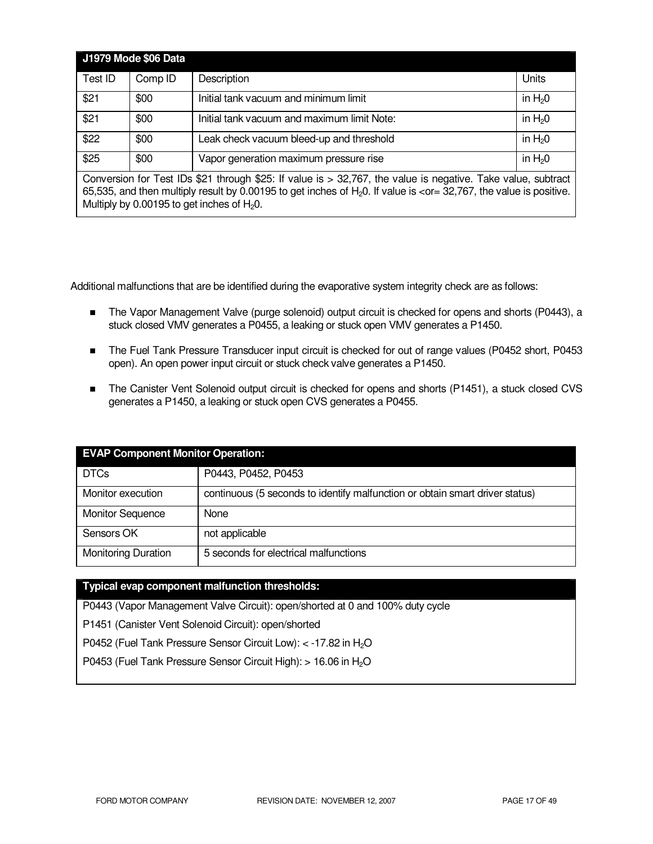|                                                                                                                                                                                                                                                                                                                                | J1979 Mode \$06 Data |                                             |            |
|--------------------------------------------------------------------------------------------------------------------------------------------------------------------------------------------------------------------------------------------------------------------------------------------------------------------------------|----------------------|---------------------------------------------|------------|
| Test ID                                                                                                                                                                                                                                                                                                                        | Comp ID              | Description                                 | Units      |
| \$21                                                                                                                                                                                                                                                                                                                           | \$00                 | Initial tank vacuum and minimum limit       | in $H20$   |
| \$21                                                                                                                                                                                                                                                                                                                           | \$00                 | Initial tank vacuum and maximum limit Note: | in $H_2$ 0 |
| \$22                                                                                                                                                                                                                                                                                                                           | \$00                 | Leak check vacuum bleed-up and threshold    | in $H20$   |
| \$25                                                                                                                                                                                                                                                                                                                           | \$00                 | Vapor generation maximum pressure rise      | in $H20$   |
| Conversion for Test IDs \$21 through \$25: If value is > 32,767, the value is negative. Take value, subtract<br>65,535, and then multiply result by 0.00195 to get inches of H <sub>2</sub> 0. If value is <or= 32,767,="" is="" positive.<br="" the="" value="">Multiply by 0.00195 to get inches of <math>H_2O</math>.</or=> |                      |                                             |            |

Additional malfunctions that are be identified during the evaporative system integrity check are as follows:

- The Vapor Management Valve (purge solenoid) output circuit is checked for opens and shorts (P0443), a stuck closed VMV generates a P0455, a leaking or stuck open VMV generates a P1450.
- The Fuel Tank Pressure Transducer input circuit is checked for out of range values (P0452 short, P0453 open). An open power input circuit or stuck check valve generates a P1450.
- The Canister Vent Solenoid output circuit is checked for opens and shorts (P1451), a stuck closed CVS generates a P1450, a leaking or stuck open CVS generates a P0455.

| <b>EVAP Component Monitor Operation:</b> |                                                                              |  |
|------------------------------------------|------------------------------------------------------------------------------|--|
| <b>DTCs</b>                              | P0443, P0452, P0453                                                          |  |
| Monitor execution                        | continuous (5 seconds to identify malfunction or obtain smart driver status) |  |
| <b>Monitor Sequence</b>                  | None                                                                         |  |
| Sensors OK                               | not applicable                                                               |  |
| <b>Monitoring Duration</b>               | 5 seconds for electrical malfunctions                                        |  |

### **Typical evap component malfunction thresholds:**

P0443 (Vapor Management Valve Circuit): open/shorted at 0 and 100% duty cycle

P1451 (Canister Vent Solenoid Circuit): open/shorted

P0452 (Fuel Tank Pressure Sensor Circuit Low): < -17.82 in H<sub>2</sub>O

P0453 (Fuel Tank Pressure Sensor Circuit High): > 16.06 in H<sub>2</sub>O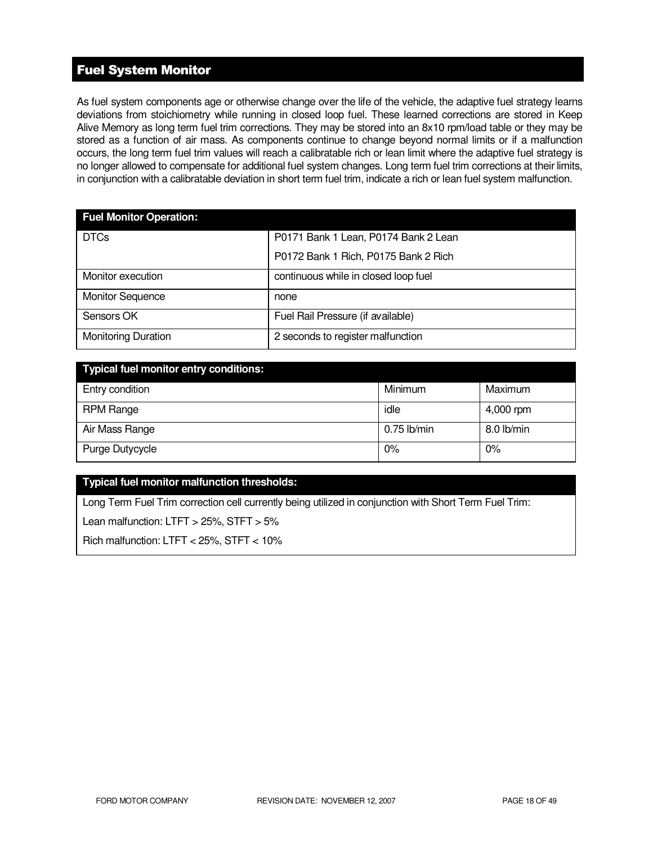# Fuel System Monitor

As fuel system components age or otherwise change over the life of the vehicle, the adaptive fuel strategy learns deviations from stoichiometry while running in closed loop fuel. These learned corrections are stored in Keep Alive Memory as long term fuel trim corrections. They may be stored into an 8x10 rpm/load table or they may be stored as a function of air mass. As components continue to change beyond normal limits or if a malfunction occurs, the long term fuel trim values will reach a calibratable rich or lean limit where the adaptive fuel strategy is no longer allowed to compensate for additional fuel system changes. Long term fuel trim corrections at their limits, in conjunction with a calibratable deviation in short term fuel trim, indicate a rich or lean fuel system malfunction.

| <b>Fuel Monitor Operation:</b> |                                      |
|--------------------------------|--------------------------------------|
| <b>DTCs</b>                    | P0171 Bank 1 Lean, P0174 Bank 2 Lean |
|                                | P0172 Bank 1 Rich, P0175 Bank 2 Rich |
| Monitor execution              | continuous while in closed loop fuel |
| <b>Monitor Sequence</b>        | none                                 |
| Sensors OK                     | Fuel Rail Pressure (if available)    |
| <b>Monitoring Duration</b>     | 2 seconds to register malfunction    |

| <b>Typical fuel monitor entry conditions:</b> |               |            |
|-----------------------------------------------|---------------|------------|
| Entry condition                               | Minimum       | Maximum    |
| RPM Range                                     | idle          | 4,000 rpm  |
| Air Mass Range                                | $0.75$ lb/min | 8.0 lb/min |
| Purge Dutycycle                               | 0%            | 0%         |

### **Typical fuel monitor malfunction thresholds:**

Long Term Fuel Trim correction cell currently being utilized in conjunction with Short Term Fuel Trim:

Lean malfunction: LTFT > 25%, STFT > 5%

Rich malfunction: LTFT < 25%, STFT < 10%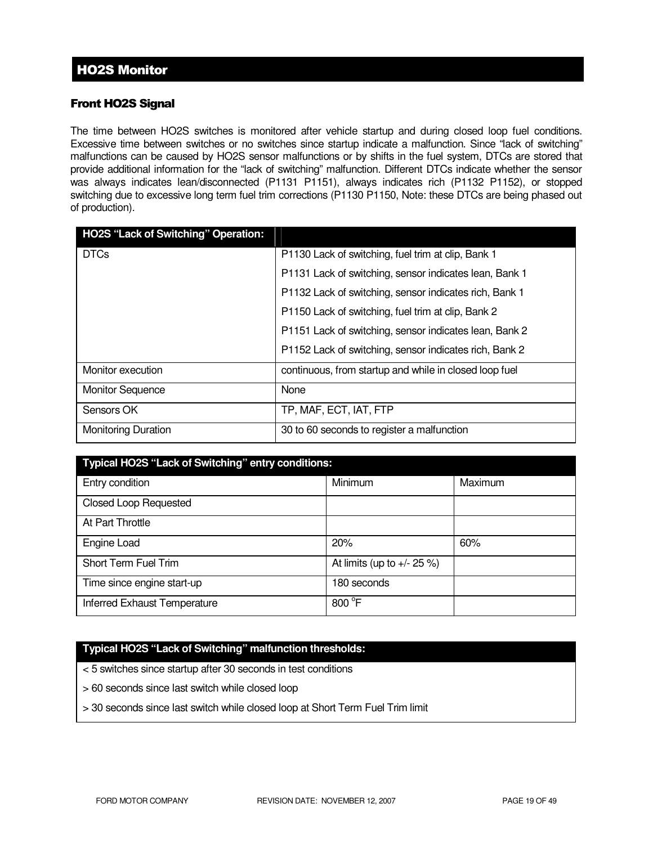### Front HO2S Signal

The time between HO2S switches is monitored after vehicle startup and during closed loop fuel conditions. Excessive time between switches or no switches since startup indicate a malfunction. Since "lack of switching" malfunctions can be caused by HO2S sensor malfunctions or by shifts in the fuel system, DTCs are stored that provide additional information for the "lack of switching" malfunction. Different DTCs indicate whether the sensor was always indicates lean/disconnected (P1131 P1151), always indicates rich (P1132 P1152), or stopped switching due to excessive long term fuel trim corrections (P1130 P1150, Note: these DTCs are being phased out of production).

| <b>HO2S "Lack of Switching" Operation:</b> |                                                        |
|--------------------------------------------|--------------------------------------------------------|
| <b>DTCs</b>                                | P1130 Lack of switching, fuel trim at clip, Bank 1     |
|                                            | P1131 Lack of switching, sensor indicates lean, Bank 1 |
|                                            | P1132 Lack of switching, sensor indicates rich, Bank 1 |
|                                            | P1150 Lack of switching, fuel trim at clip, Bank 2     |
|                                            | P1151 Lack of switching, sensor indicates lean, Bank 2 |
|                                            | P1152 Lack of switching, sensor indicates rich, Bank 2 |
| Monitor execution                          | continuous, from startup and while in closed loop fuel |
| <b>Monitor Sequence</b>                    | None                                                   |
| Sensors OK                                 | TP, MAF, ECT, IAT, FTP                                 |
| <b>Monitoring Duration</b>                 | 30 to 60 seconds to register a malfunction             |

| Typical HO2S "Lack of Switching" entry conditions: |                               |         |  |
|----------------------------------------------------|-------------------------------|---------|--|
| Entry condition                                    | <b>Minimum</b>                | Maximum |  |
| <b>Closed Loop Requested</b>                       |                               |         |  |
| At Part Throttle                                   |                               |         |  |
| Engine Load                                        | 20%                           | 60%     |  |
| Short Term Fuel Trim                               | At limits (up to $+/- 25 %$ ) |         |  |
| Time since engine start-up                         | 180 seconds                   |         |  |
| Inferred Exhaust Temperature                       | 800 °F                        |         |  |

### **Typical HO2S "Lack of Switching" malfunction thresholds:**

< 5 switches since startup after 30 seconds in test conditions

- > 60 seconds since last switch while closed loop
- > 30 seconds since last switch while closed loop at Short Term Fuel Trim limit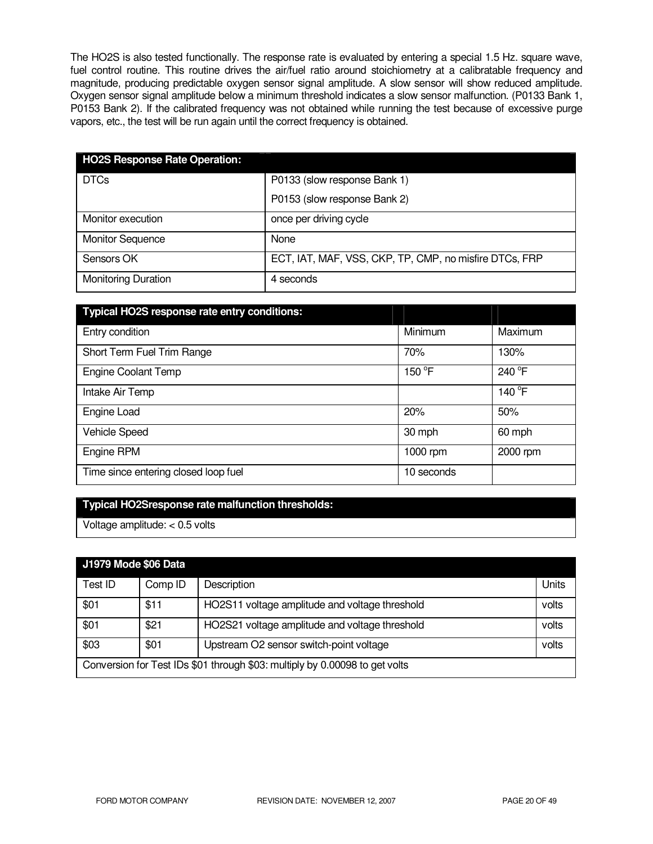The HO2S is also tested functionally. The response rate is evaluated by entering a special 1.5 Hz. square wave, fuel control routine. This routine drives the air/fuel ratio around stoichiometry at a calibratable frequency and magnitude, producing predictable oxygen sensor signal amplitude. A slow sensor will show reduced amplitude. Oxygen sensor signal amplitude below a minimum threshold indicates a slow sensor malfunction. (P0133 Bank 1, P0153 Bank 2). If the calibrated frequency was not obtained while running the test because of excessive purge vapors, etc., the test will be run again until the correct frequency is obtained.

| <b>HO2S Response Rate Operation:</b> |                                                        |
|--------------------------------------|--------------------------------------------------------|
| <b>DTCs</b>                          | P0133 (slow response Bank 1)                           |
|                                      | P0153 (slow response Bank 2)                           |
| Monitor execution                    | once per driving cycle                                 |
| <b>Monitor Sequence</b>              | None                                                   |
| Sensors OK                           | ECT, IAT, MAF, VSS, CKP, TP, CMP, no misfire DTCs, FRP |
| <b>Monitoring Duration</b>           | 4 seconds                                              |

| Typical HO2S response rate entry conditions: |            |          |
|----------------------------------------------|------------|----------|
| Entry condition                              | Minimum    | Maximum  |
| Short Term Fuel Trim Range                   | 70%        | 130%     |
| <b>Engine Coolant Temp</b>                   | 150 °F     | 240 °F   |
| Intake Air Temp                              |            | 140 °F   |
| Engine Load                                  | 20%        | 50%      |
| <b>Vehicle Speed</b>                         | 30 mph     | 60 mph   |
| Engine RPM                                   | 1000 $rm$  | 2000 rpm |
| Time since entering closed loop fuel         | 10 seconds |          |

### **Typical HO2Sresponse rate malfunction thresholds:**

Voltage amplitude: < 0.5 volts

# **J1979 Mode \$06 Data**

| <b>PLACE AND ADD DUG</b>                                                    |         |                                                |       |
|-----------------------------------------------------------------------------|---------|------------------------------------------------|-------|
| Test ID                                                                     | Comp ID | Description                                    | Units |
| \$01                                                                        | \$11    | HO2S11 voltage amplitude and voltage threshold | volts |
| \$01                                                                        | \$21    | HO2S21 voltage amplitude and voltage threshold | volts |
| \$03                                                                        | \$01    | Upstream O2 sensor switch-point voltage        | volts |
| Conversion for Test IDs \$01 through \$03: multiply by 0.00098 to get volts |         |                                                |       |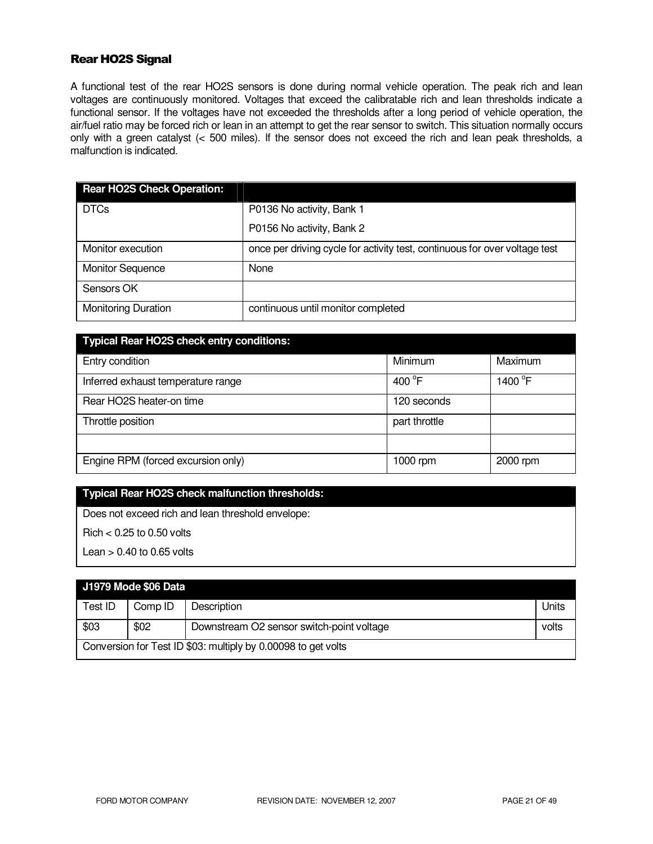### Rear HO2S Signal

A functional test of the rear HO2S sensors is done during normal vehicle operation. The peak rich and lean voltages are continuously monitored. Voltages that exceed the calibratable rich and lean thresholds indicate a functional sensor. If the voltages have not exceeded the thresholds after a long period of vehicle operation, the air/fuel ratio may be forced rich or lean in an attempt to get the rear sensor to switch. This situation normally occurs only with a green catalyst (< 500 miles). If the sensor does not exceed the rich and lean peak thresholds, a malfunction is indicated.

| <b>Rear HO2S Check Operation:</b> |                                                                            |
|-----------------------------------|----------------------------------------------------------------------------|
| <b>DTCs</b>                       | P0136 No activity, Bank 1                                                  |
|                                   | P0156 No activity, Bank 2                                                  |
| Monitor execution                 | once per driving cycle for activity test, continuous for over voltage test |
| <b>Monitor Sequence</b>           | None                                                                       |
| Sensors OK                        |                                                                            |
| <b>Monitoring Duration</b>        | continuous until monitor completed                                         |

| <b>Typical Rear HO2S check entry conditions:</b> |                  |                     |
|--------------------------------------------------|------------------|---------------------|
| Entry condition                                  | Minimum          | Maximum             |
| Inferred exhaust temperature range               | 400 $^{\circ}$ F | 1400 <sup>°</sup> F |
| Rear HO2S heater-on time                         | 120 seconds      |                     |
| Throttle position                                | part throttle    |                     |
|                                                  |                  |                     |
| Engine RPM (forced excursion only)               | $1000$ rpm       | 2000 rpm            |

### **Typical Rear HO2S check malfunction thresholds:**

Does not exceed rich and lean threshold envelope:

Rich < 0.25 to 0.50 volts

Lean  $> 0.40$  to 0.65 volts

# **J1979 Mode \$06 Data**

| Test ID                                                       | Comp ID | Description                               | Units |
|---------------------------------------------------------------|---------|-------------------------------------------|-------|
| \$03                                                          | \$02    | Downstream O2 sensor switch-point voltage | volts |
| Conversion for Test ID \$03: multiply by 0.00098 to get volts |         |                                           |       |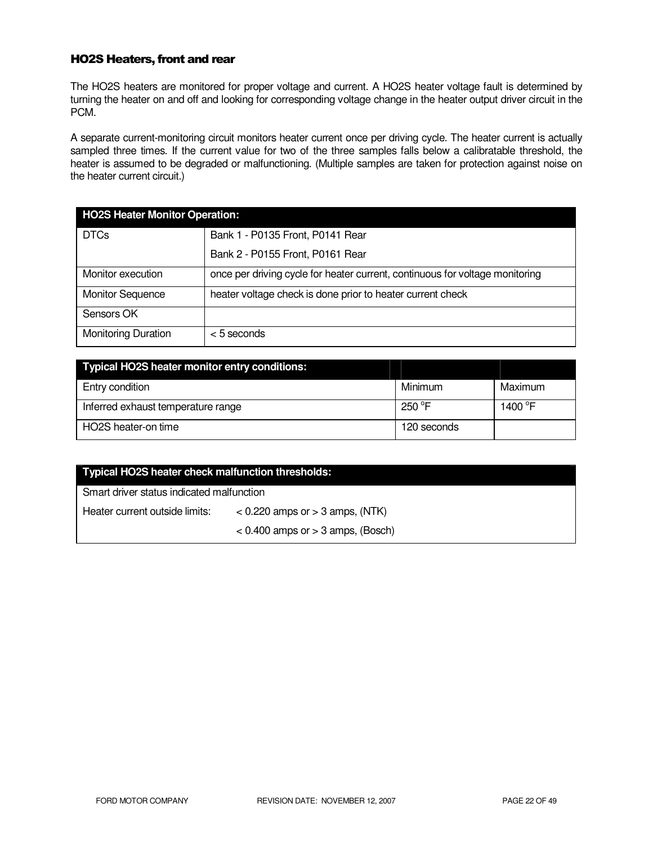### HO2S Heaters, front and rear

The HO2S heaters are monitored for proper voltage and current. A HO2S heater voltage fault is determined by turning the heater on and off and looking for corresponding voltage change in the heater output driver circuit in the PCM.

A separate current-monitoring circuit monitors heater current once per driving cycle. The heater current is actually sampled three times. If the current value for two of the three samples falls below a calibratable threshold, the heater is assumed to be degraded or malfunctioning. (Multiple samples are taken for protection against noise on the heater current circuit.)

| <b>HO2S Heater Monitor Operation:</b> |                                                                              |  |
|---------------------------------------|------------------------------------------------------------------------------|--|
| <b>DTCs</b>                           | Bank 1 - P0135 Front, P0141 Rear                                             |  |
|                                       | Bank 2 - P0155 Front, P0161 Rear                                             |  |
| Monitor execution                     | once per driving cycle for heater current, continuous for voltage monitoring |  |
| <b>Monitor Sequence</b>               | heater voltage check is done prior to heater current check                   |  |
| Sensors OK                            |                                                                              |  |
| <b>Monitoring Duration</b>            | $< 5$ seconds                                                                |  |

| <b>Typical HO2S heater monitor entry conditions:</b> |                 |                     |
|------------------------------------------------------|-----------------|---------------------|
| Entry condition                                      | Minimum         | Maximum             |
| Inferred exhaust temperature range                   | 250 $\degree$ F | 1400 <sup>°</sup> F |
| HO2S heater-on time                                  | 120 seconds     |                     |

| <b>Typical HO2S heater check malfunction thresholds:</b> |                                       |  |
|----------------------------------------------------------|---------------------------------------|--|
| Smart driver status indicated malfunction                |                                       |  |
| Heater current outside limits:                           | $<$ 0.220 amps or $>$ 3 amps, (NTK)   |  |
|                                                          | $< 0.400$ amps or $> 3$ amps, (Bosch) |  |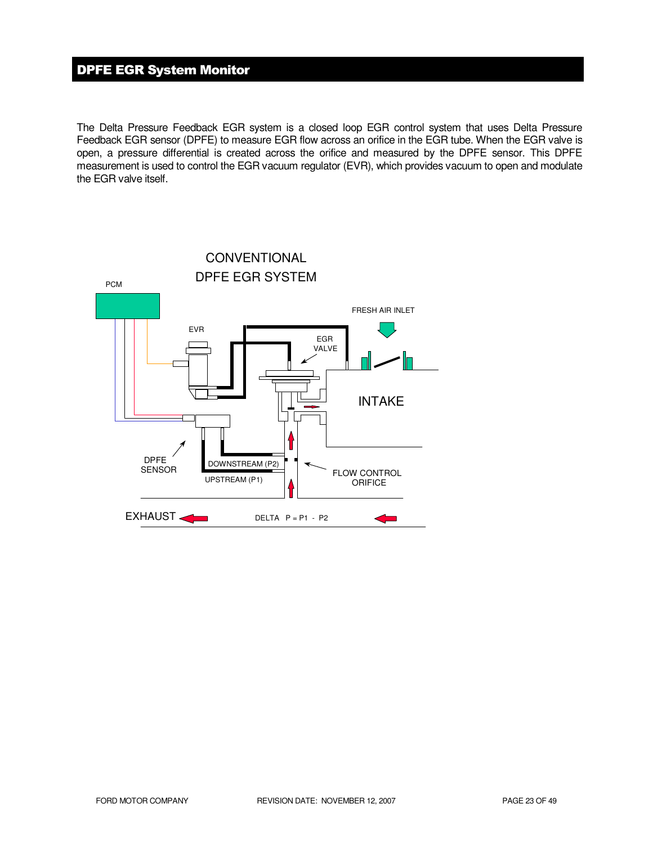# DPFE EGR System Monitor

The Delta Pressure Feedback EGR system is a closed loop EGR control system that uses Delta Pressure Feedback EGR sensor (DPFE) to measure EGR flow across an orifice in the EGR tube. When the EGR valve is open, a pressure differential is created across the orifice and measured by the DPFE sensor. This DPFE measurement is used to control the EGR vacuum regulator (EVR), which provides vacuum to open and modulate the EGR valve itself.

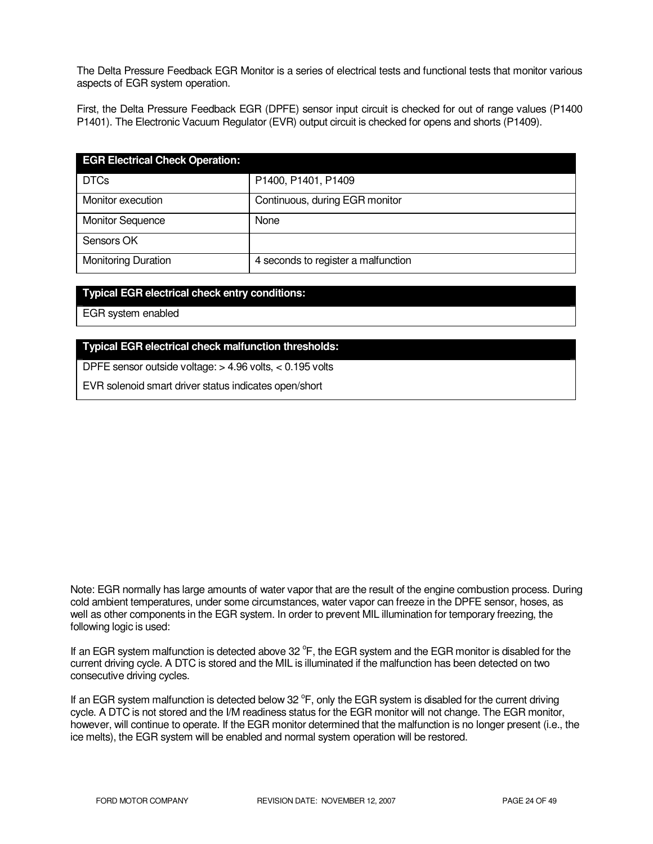The Delta Pressure Feedback EGR Monitor is a series of electrical tests and functional tests that monitor various aspects of EGR system operation.

First, the Delta Pressure Feedback EGR (DPFE) sensor input circuit is checked for out of range values (P1400 P1401). The Electronic Vacuum Regulator (EVR) output circuit is checked for opens and shorts (P1409).

| <b>EGR Electrical Check Operation:</b> |                                     |
|----------------------------------------|-------------------------------------|
| <b>DTCs</b>                            | P1400, P1401, P1409                 |
| Monitor execution                      | Continuous, during EGR monitor      |
| <b>Monitor Sequence</b>                | None                                |
| Sensors OK                             |                                     |
| <b>Monitoring Duration</b>             | 4 seconds to register a malfunction |

#### **Typical EGR electrical check entry conditions:**

EGR system enabled

#### **Typical EGR electrical check malfunction thresholds:**

DPFE sensor outside voltage: > 4.96 volts, < 0.195 volts

EVR solenoid smart driver status indicates open/short

Note: EGR normally has large amounts of water vapor that are the result of the engine combustion process. During cold ambient temperatures, under some circumstances, water vapor can freeze in the DPFE sensor, hoses, as well as other components in the EGR system. In order to prevent MIL illumination for temporary freezing, the following logic is used:

If an EGR system malfunction is detected above 32 °F, the EGR system and the EGR monitor is disabled for the current driving cycle. A DTC is stored and the MIL is illuminated if the malfunction has been detected on two consecutive driving cycles.

If an EGR system malfunction is detected below 32  $\degree$ F, only the EGR system is disabled for the current driving cycle. A DTC is not stored and the I/M readiness status for the EGR monitor will not change. The EGR monitor, however, will continue to operate. If the EGR monitor determined that the malfunction is no longer present (i.e., the ice melts), the EGR system will be enabled and normal system operation will be restored.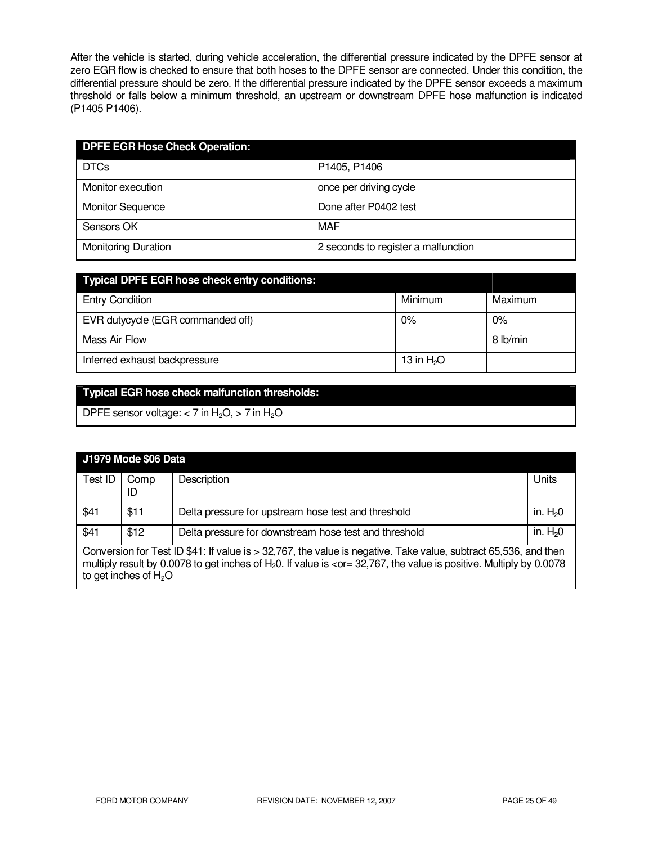After the vehicle is started, during vehicle acceleration, the differential pressure indicated by the DPFE sensor at zero EGR flow is checked to ensure that both hoses to the DPFE sensor are connected. Under this condition, the differential pressure should be zero. If the differential pressure indicated by the DPFE sensor exceeds a maximum threshold or falls below a minimum threshold, an upstream or downstream DPFE hose malfunction is indicated (P1405 P1406).

| <b>DPFE EGR Hose Check Operation:</b> |                                     |  |
|---------------------------------------|-------------------------------------|--|
| <b>DTCs</b>                           | P1405, P1406                        |  |
| Monitor execution                     | once per driving cycle              |  |
| <b>Monitor Sequence</b>               | Done after P0402 test               |  |
| Sensors OK                            | MAF                                 |  |
| <b>Monitoring Duration</b>            | 2 seconds to register a malfunction |  |

| <b>Typical DPFE EGR hose check entry conditions:</b> |             |          |
|------------------------------------------------------|-------------|----------|
| <b>Entry Condition</b>                               | Minimum     | Maximum  |
| EVR dutycycle (EGR commanded off)                    | $0\%$       | $0\%$    |
| Mass Air Flow                                        |             | 8 lb/min |
| Inferred exhaust backpressure                        | 13 in $H2O$ |          |

# **Typical EGR hose check malfunction thresholds:**

DPFE sensor voltage:  $<$  7 in H<sub>2</sub>O,  $>$  7 in H<sub>2</sub>O

|                                                                                                                                                                                                                                                                                                                  | <b>J1979 Mode \$06 Data</b> |                                                       |           |
|------------------------------------------------------------------------------------------------------------------------------------------------------------------------------------------------------------------------------------------------------------------------------------------------------------------|-----------------------------|-------------------------------------------------------|-----------|
| Test ID                                                                                                                                                                                                                                                                                                          | Comp<br>ID                  | Description                                           | Units     |
| \$41                                                                                                                                                                                                                                                                                                             | \$11                        | Delta pressure for upstream hose test and threshold   | in. $H20$ |
| \$41                                                                                                                                                                                                                                                                                                             | \$12                        | Delta pressure for downstream hose test and threshold | in. $H20$ |
| Conversion for Test ID \$41: If value is > 32,767, the value is negative. Take value, subtract 65,536, and then<br>multiply result by 0.0078 to get inches of $H_2O$ . If value is <or 0.0078<br="" 32,767,="" =="" by="" is="" multiply="" positive.="" the="" value="">to get inches of <math>H_2O</math></or> |                             |                                                       |           |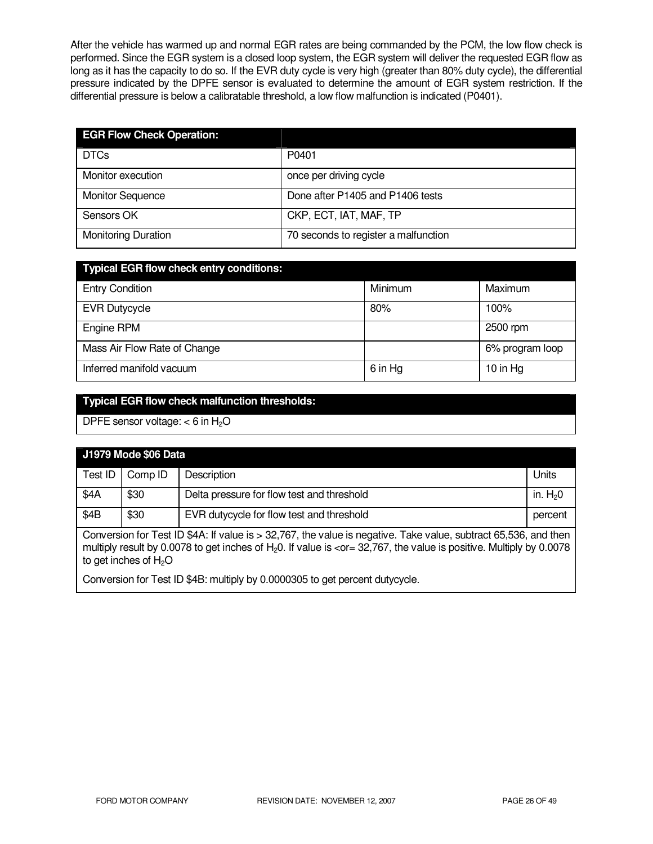After the vehicle has warmed up and normal EGR rates are being commanded by the PCM, the low flow check is performed. Since the EGR system is a closed loop system, the EGR system will deliver the requested EGR flow as long as it has the capacity to do so. If the EVR duty cycle is very high (greater than 80% duty cycle), the differential pressure indicated by the DPFE sensor is evaluated to determine the amount of EGR system restriction. If the differential pressure is below a calibratable threshold, a low flow malfunction is indicated (P0401).

| <b>EGR Flow Check Operation:</b> |                                      |
|----------------------------------|--------------------------------------|
| <b>DTCs</b>                      | P0401                                |
| Monitor execution                | once per driving cycle               |
| <b>Monitor Sequence</b>          | Done after P1405 and P1406 tests     |
| Sensors OK                       | CKP, ECT, IAT, MAF, TP               |
| <b>Monitoring Duration</b>       | 70 seconds to register a malfunction |

| <b>Typical EGR flow check entry conditions:</b> |         |                 |  |  |
|-------------------------------------------------|---------|-----------------|--|--|
| <b>Entry Condition</b>                          | Minimum | Maximum         |  |  |
| <b>EVR Dutycycle</b>                            | 80%     | 100%            |  |  |
| Engine RPM                                      |         | 2500 rpm        |  |  |
| Mass Air Flow Rate of Change                    |         | 6% program loop |  |  |
| Inferred manifold vacuum                        | 6 in Hg | 10 in $Hg$      |  |  |

### **Typical EGR flow check malfunction thresholds:**

DPFE sensor voltage:  $<$  6 in H<sub>2</sub>O

| J1979 Mode \$06 Data                                                                                                                                                                                                                           |         |                                            |           |
|------------------------------------------------------------------------------------------------------------------------------------------------------------------------------------------------------------------------------------------------|---------|--------------------------------------------|-----------|
| Test ID                                                                                                                                                                                                                                        | Comp ID | Description                                | Units     |
| \$4A                                                                                                                                                                                                                                           | \$30    | Delta pressure for flow test and threshold | in. $H20$ |
| \$4B                                                                                                                                                                                                                                           | \$30    | EVR dutycycle for flow test and threshold  | percent   |
| Conversion for Test ID \$4A: If value is > 32,767, the value is negative. Take value, subtract 65,536, and then<br>multiply result by 0.0078 to get inches of H-0. If value is $\sim$ or - 32.767, the value is positive. Multiply by 0.0078 I |         |                                            |           |

multiply result by 0.00/8 to get inches of H<sub>2</sub>0. If value is <or= 32,767, the value is positive. Multiply by 0.0078 to get inches of  $H_2O$ 

Conversion for Test ID \$4B: multiply by 0.0000305 to get percent dutycycle.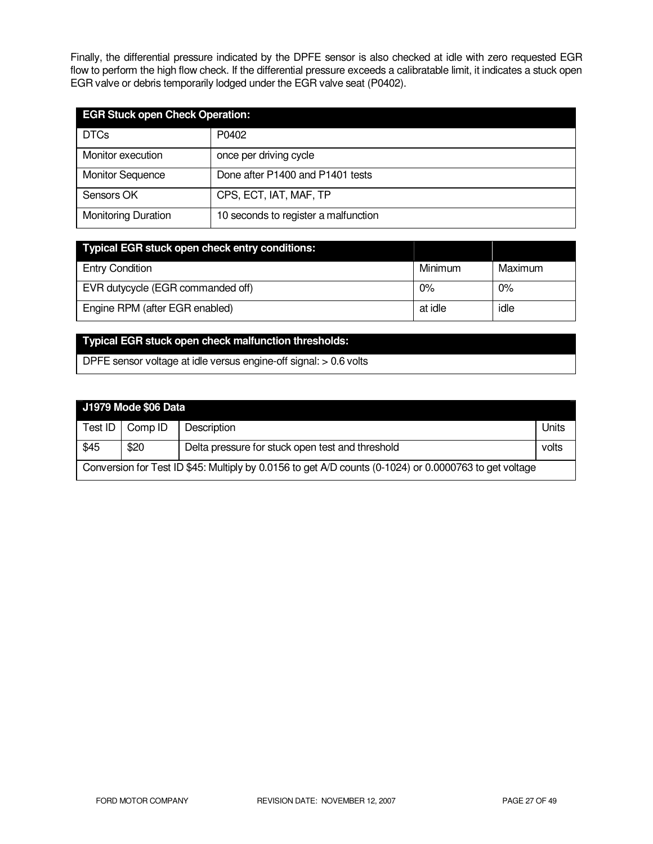Finally, the differential pressure indicated by the DPFE sensor is also checked at idle with zero requested EGR flow to perform the high flow check. If the differential pressure exceeds a calibratable limit, it indicates a stuck open EGR valve or debris temporarily lodged under the EGR valve seat (P0402).

| <b>EGR Stuck open Check Operation:</b> |                                      |  |
|----------------------------------------|--------------------------------------|--|
| <b>DTCs</b>                            | P0402                                |  |
| Monitor execution                      | once per driving cycle               |  |
| <b>Monitor Sequence</b>                | Done after P1400 and P1401 tests     |  |
| Sensors OK                             | CPS, ECT, IAT, MAF, TP               |  |
| <b>Monitoring Duration</b>             | 10 seconds to register a malfunction |  |

| <b>Typical EGR stuck open check entry conditions:</b> |         |         |
|-------------------------------------------------------|---------|---------|
| <b>Entry Condition</b>                                | Minimum | Maximum |
| EVR dutycycle (EGR commanded off)                     | 0%      | $0\%$   |
| Engine RPM (after EGR enabled)                        | at idle | idle    |

### **Typical EGR stuck open check malfunction thresholds:**

DPFE sensor voltage at idle versus engine-off signal: > 0.6 volts

| J1979 Mode \$06 Data |  |  |
|----------------------|--|--|
|                      |  |  |

Г

| Test ID                                                                                                | Comp ID | Description                                      | Units |  |
|--------------------------------------------------------------------------------------------------------|---------|--------------------------------------------------|-------|--|
| \$45                                                                                                   | \$20    | Delta pressure for stuck open test and threshold | volts |  |
| Conversion for Test ID \$45: Multiply by 0.0156 to get A/D counts (0-1024) or 0.0000763 to get voltage |         |                                                  |       |  |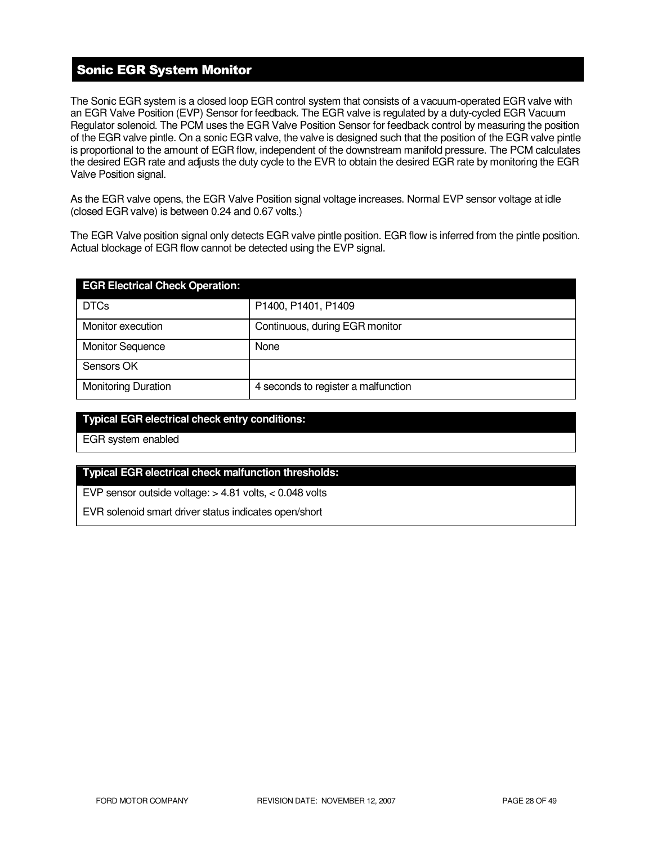# Sonic EGR System Monitor

The Sonic EGR system is a closed loop EGR control system that consists of a vacuum-operated EGR valve with an EGR Valve Position (EVP) Sensor for feedback. The EGR valve is regulated by a duty-cycled EGR Vacuum Regulator solenoid. The PCM uses the EGR Valve Position Sensor for feedback control by measuring the position of the EGR valve pintle. On a sonic EGR valve, the valve is designed such that the position of the EGR valve pintle is proportional to the amount of EGR flow, independent of the downstream manifold pressure. The PCM calculates the desired EGR rate and adjusts the duty cycle to the EVR to obtain the desired EGR rate by monitoring the EGR Valve Position signal.

As the EGR valve opens, the EGR Valve Position signal voltage increases. Normal EVP sensor voltage at idle (closed EGR valve) is between 0.24 and 0.67 volts.)

The EGR Valve position signal only detects EGR valve pintle position. EGR flow is inferred from the pintle position. Actual blockage of EGR flow cannot be detected using the EVP signal.

| <b>EGR Electrical Check Operation:</b> |                                     |
|----------------------------------------|-------------------------------------|
| <b>DTCs</b>                            | P1400, P1401, P1409                 |
| Monitor execution                      | Continuous, during EGR monitor      |
| <b>Monitor Sequence</b>                | None                                |
| Sensors OK                             |                                     |
| <b>Monitoring Duration</b>             | 4 seconds to register a malfunction |

### **Typical EGR electrical check entry conditions:**

EGR system enabled

#### **Typical EGR electrical check malfunction thresholds:**

EVP sensor outside voltage: > 4.81 volts, < 0.048 volts

EVR solenoid smart driver status indicates open/short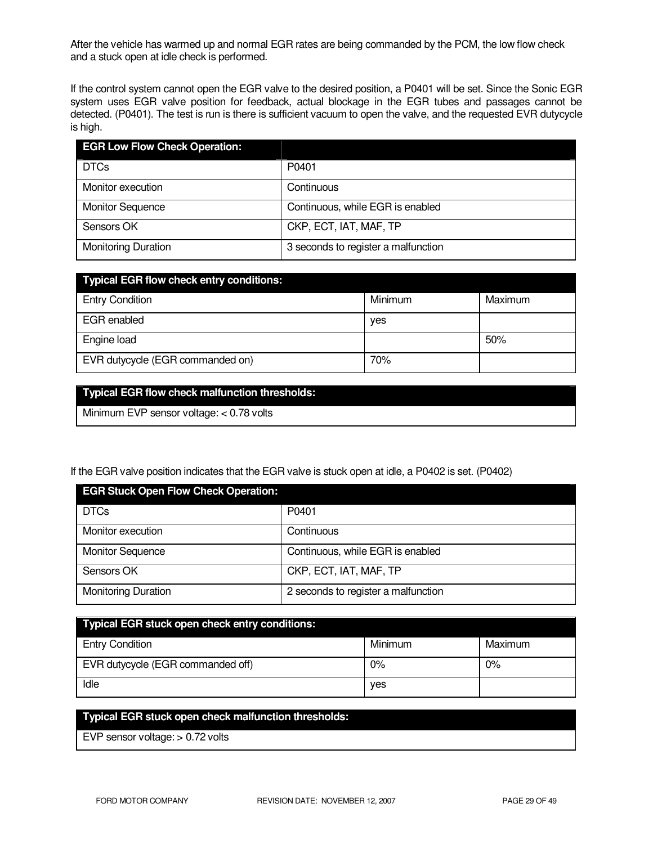After the vehicle has warmed up and normal EGR rates are being commanded by the PCM, the low flow check and a stuck open at idle check is performed.

If the control system cannot open the EGR valve to the desired position, a P0401 will be set. Since the Sonic EGR system uses EGR valve position for feedback, actual blockage in the EGR tubes and passages cannot be detected. (P0401). The test is run is there is sufficient vacuum to open the valve, and the requested EVR dutycycle is high.

| <b>EGR Low Flow Check Operation:</b> |                                     |
|--------------------------------------|-------------------------------------|
| <b>DTCs</b>                          | P0401                               |
| Monitor execution                    | Continuous                          |
| <b>Monitor Sequence</b>              | Continuous, while EGR is enabled    |
| Sensors OK                           | CKP, ECT, IAT, MAF, TP              |
| <b>Monitoring Duration</b>           | 3 seconds to register a malfunction |

| <b>Typical EGR flow check entry conditions:</b> |         |         |
|-------------------------------------------------|---------|---------|
| <b>Entry Condition</b>                          | Minimum | Maximum |
| EGR enabled                                     | yes     |         |
| Engine load                                     |         | 50%     |
| EVR dutycycle (EGR commanded on)                | 70%     |         |

### **Typical EGR flow check malfunction thresholds:**

Minimum EVP sensor voltage: < 0.78 volts

### If the EGR valve position indicates that the EGR valve is stuck open at idle, a P0402 is set. (P0402)

| <b>EGR Stuck Open Flow Check Operation:</b> |                                     |  |
|---------------------------------------------|-------------------------------------|--|
| <b>DTCs</b>                                 | P0401                               |  |
| Monitor execution                           | Continuous                          |  |
| <b>Monitor Sequence</b>                     | Continuous, while EGR is enabled    |  |
| Sensors OK                                  | CKP, ECT, IAT, MAF, TP              |  |
| <b>Monitoring Duration</b>                  | 2 seconds to register a malfunction |  |

| Typical EGR stuck open check entry conditions: |         |         |
|------------------------------------------------|---------|---------|
| <b>Entry Condition</b>                         | Minimum | Maximum |
| EVR dutycycle (EGR commanded off)              | $0\%$   | $0\%$   |
| Idle                                           | ves     |         |

### **Typical EGR stuck open check malfunction thresholds:**

EVP sensor voltage: > 0.72 volts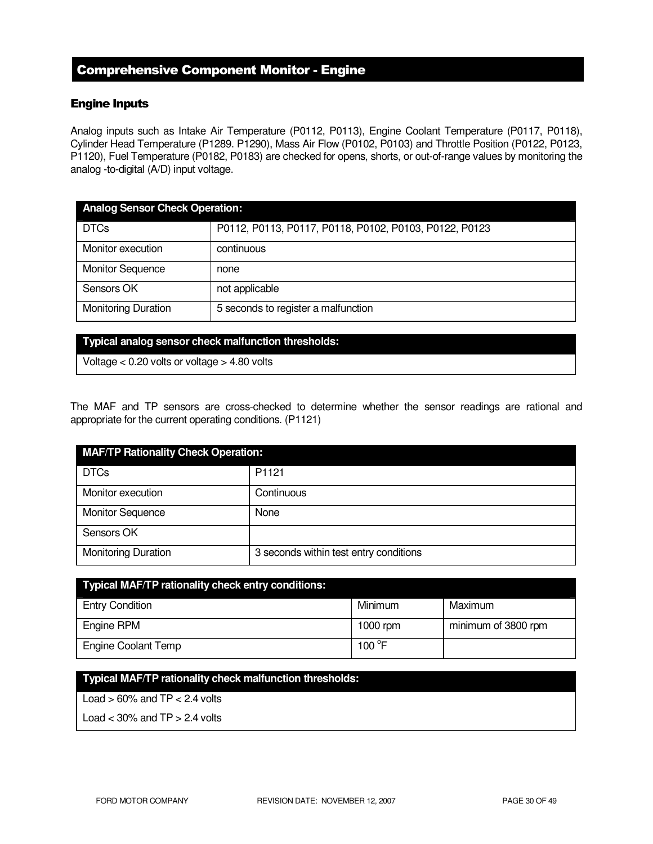# Comprehensive Component Monitor - Engine

### Engine Inputs

Analog inputs such as Intake Air Temperature (P0112, P0113), Engine Coolant Temperature (P0117, P0118), Cylinder Head Temperature (P1289. P1290), Mass Air Flow (P0102, P0103) and Throttle Position (P0122, P0123, P1120), Fuel Temperature (P0182, P0183) are checked for opens, shorts, or out-of-range values by monitoring the analog -to-digital (A/D) input voltage.

| <b>Analog Sensor Check Operation:</b> |                                                        |  |
|---------------------------------------|--------------------------------------------------------|--|
| <b>DTCs</b>                           | P0112, P0113, P0117, P0118, P0102, P0103, P0122, P0123 |  |
| Monitor execution                     | continuous                                             |  |
| <b>Monitor Sequence</b>               | none                                                   |  |
| Sensors OK                            | not applicable                                         |  |
| <b>Monitoring Duration</b>            | 5 seconds to register a malfunction                    |  |

#### **Typical analog sensor check malfunction thresholds:**

Voltage < 0.20 volts or voltage > 4.80 volts

The MAF and TP sensors are cross-checked to determine whether the sensor readings are rational and appropriate for the current operating conditions. (P1121)

| <b>MAF/TP Rationality Check Operation:</b> |                                        |  |
|--------------------------------------------|----------------------------------------|--|
| <b>DTCs</b>                                | P <sub>1121</sub>                      |  |
| Monitor execution                          | Continuous                             |  |
| <b>Monitor Sequence</b>                    | None                                   |  |
| Sensors OK                                 |                                        |  |
| <b>Monitoring Duration</b>                 | 3 seconds within test entry conditions |  |

| Typical MAF/TP rationality check entry conditions: |                 |                     |  |
|----------------------------------------------------|-----------------|---------------------|--|
| <b>Entry Condition</b>                             | Minimum         | Maximum             |  |
| Engine RPM                                         | 1000 rpm        | minimum of 3800 rpm |  |
| <b>Engine Coolant Temp</b>                         | 100 $\degree$ F |                     |  |

### **Typical MAF/TP rationality check malfunction thresholds:**

Load  $> 60\%$  and TP  $< 2.4$  volts

Load  $<$  30% and TP  $>$  2.4 volts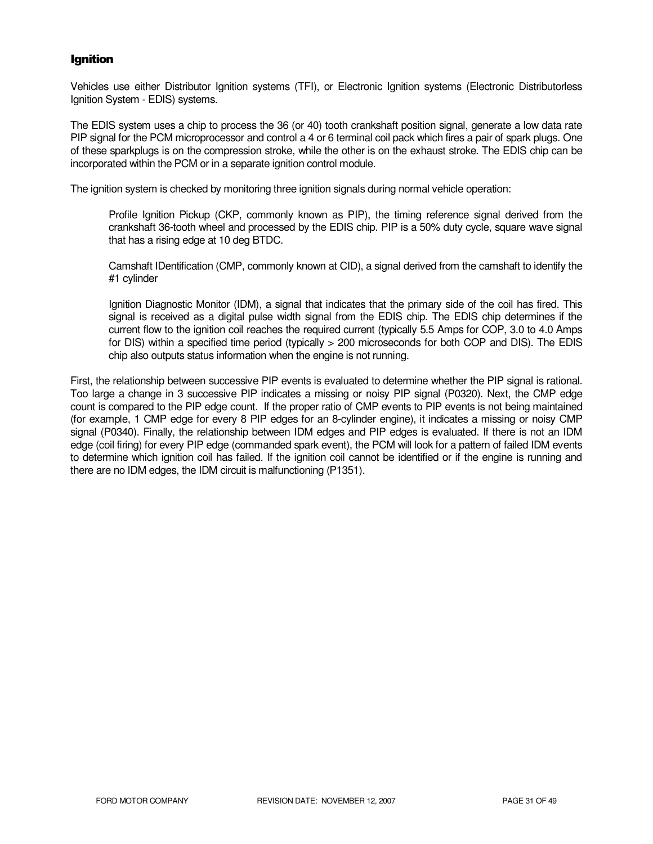### Ignition

Vehicles use either Distributor Ignition systems (TFI), or Electronic Ignition systems (Electronic Distributorless Ignition System - EDIS) systems.

The EDIS system uses a chip to process the 36 (or 40) tooth crankshaft position signal, generate a low data rate PIP signal for the PCM microprocessor and control a 4 or 6 terminal coil pack which fires a pair of spark plugs. One of these sparkplugs is on the compression stroke, while the other is on the exhaust stroke. The EDIS chip can be incorporated within the PCM or in a separate ignition control module.

The ignition system is checked by monitoring three ignition signals during normal vehicle operation:

Profile Ignition Pickup (CKP, commonly known as PIP), the timing reference signal derived from the crankshaft 36-tooth wheel and processed by the EDIS chip. PIP is a 50% duty cycle, square wave signal that has a rising edge at 10 deg BTDC.

Camshaft IDentification (CMP, commonly known at CID), a signal derived from the camshaft to identify the #1 cylinder

Ignition Diagnostic Monitor (IDM), a signal that indicates that the primary side of the coil has fired. This signal is received as a digital pulse width signal from the EDIS chip. The EDIS chip determines if the current flow to the ignition coil reaches the required current (typically 5.5 Amps for COP, 3.0 to 4.0 Amps for DIS) within a specified time period (typically > 200 microseconds for both COP and DIS). The EDIS chip also outputs status information when the engine is not running.

First, the relationship between successive PIP events is evaluated to determine whether the PIP signal is rational. Too large a change in 3 successive PIP indicates a missing or noisy PIP signal (P0320). Next, the CMP edge count is compared to the PIP edge count. If the proper ratio of CMP events to PIP events is not being maintained (for example, 1 CMP edge for every 8 PIP edges for an 8-cylinder engine), it indicates a missing or noisy CMP signal (P0340). Finally, the relationship between IDM edges and PIP edges is evaluated. If there is not an IDM edge (coil firing) for every PIP edge (commanded spark event), the PCM will look for a pattern of failed IDM events to determine which ignition coil has failed. If the ignition coil cannot be identified or if the engine is running and there are no IDM edges, the IDM circuit is malfunctioning (P1351).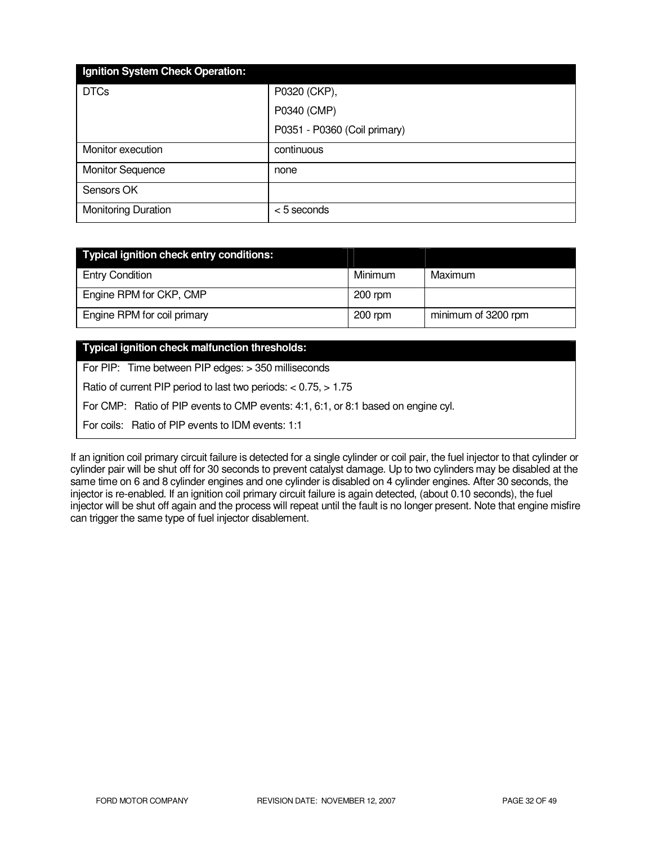| Ignition System Check Operation: |                              |
|----------------------------------|------------------------------|
| <b>DTCs</b>                      | P0320 (CKP),                 |
|                                  | P0340 (CMP)                  |
|                                  | P0351 - P0360 (Coil primary) |
| Monitor execution                | continuous                   |
| <b>Monitor Sequence</b>          | none                         |
| Sensors OK                       |                              |
| <b>Monitoring Duration</b>       | $< 5$ seconds                |

| Typical ignition check entry conditions: |           |                     |
|------------------------------------------|-----------|---------------------|
| <b>Entry Condition</b>                   | Minimum   | Maximum             |
| Engine RPM for CKP, CMP                  | $200$ rpm |                     |
| Engine RPM for coil primary              | $200$ rpm | minimum of 3200 rpm |

### **Typical ignition check malfunction thresholds:**

For PIP: Time between PIP edges: > 350 milliseconds

Ratio of current PIP period to last two periods: < 0.75, > 1.75

For CMP: Ratio of PIP events to CMP events: 4:1, 6:1, or 8:1 based on engine cyl.

For coils: Ratio of PIP events to IDM events: 1:1

If an ignition coil primary circuit failure is detected for a single cylinder or coil pair, the fuel injector to that cylinder or cylinder pair will be shut off for 30 seconds to prevent catalyst damage. Up to two cylinders may be disabled at the same time on 6 and 8 cylinder engines and one cylinder is disabled on 4 cylinder engines. After 30 seconds, the injector is re-enabled. If an ignition coil primary circuit failure is again detected, (about 0.10 seconds), the fuel injector will be shut off again and the process will repeat until the fault is no longer present. Note that engine misfire can trigger the same type of fuel injector disablement.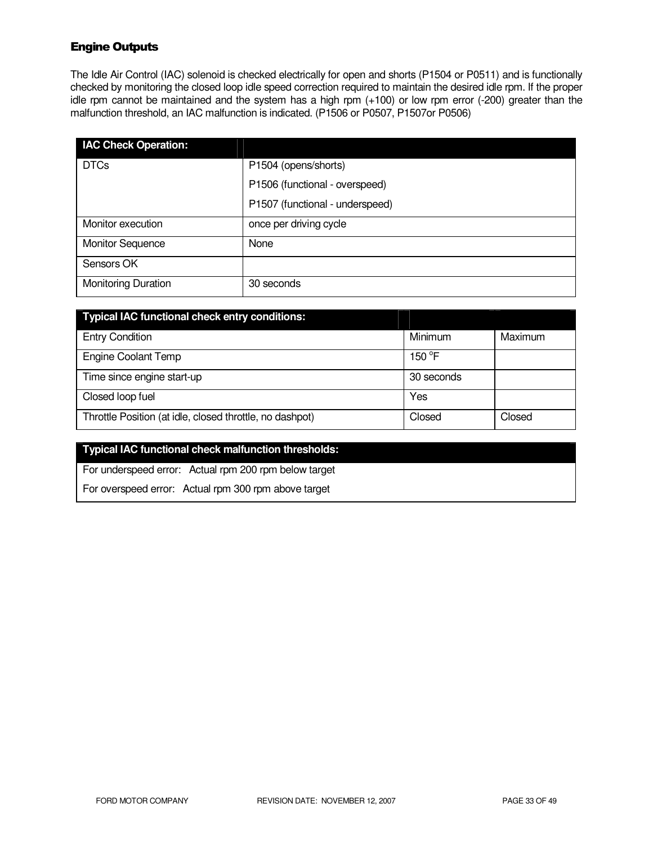# Engine Outputs

The Idle Air Control (IAC) solenoid is checked electrically for open and shorts (P1504 or P0511) and is functionally checked by monitoring the closed loop idle speed correction required to maintain the desired idle rpm. If the proper idle rpm cannot be maintained and the system has a high rpm (+100) or low rpm error (-200) greater than the malfunction threshold, an IAC malfunction is indicated. (P1506 or P0507, P1507or P0506)

| <b>IAC Check Operation:</b> |                                 |
|-----------------------------|---------------------------------|
| <b>DTCs</b>                 | P1504 (opens/shorts)            |
|                             | P1506 (functional - overspeed)  |
|                             | P1507 (functional - underspeed) |
| Monitor execution           | once per driving cycle          |
| <b>Monitor Sequence</b>     | None                            |
| Sensors OK                  |                                 |
| <b>Monitoring Duration</b>  | 30 seconds                      |

| Typical IAC functional check entry conditions:           |            |         |
|----------------------------------------------------------|------------|---------|
| <b>Entry Condition</b>                                   | Minimum    | Maximum |
| <b>Engine Coolant Temp</b>                               | 150 °F     |         |
| Time since engine start-up                               | 30 seconds |         |
| Closed loop fuel                                         | Yes        |         |
| Throttle Position (at idle, closed throttle, no dashpot) | Closed     | Closed  |

# **Typical IAC functional check malfunction thresholds:**

For underspeed error: Actual rpm 200 rpm below target

For overspeed error: Actual rpm 300 rpm above target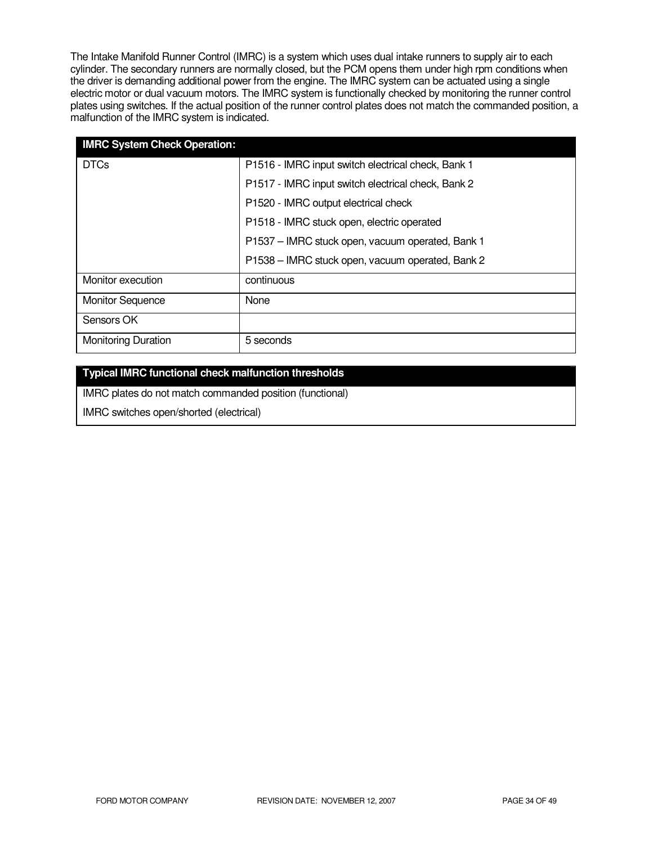The Intake Manifold Runner Control (IMRC) is a system which uses dual intake runners to supply air to each cylinder. The secondary runners are normally closed, but the PCM opens them under high rpm conditions when the driver is demanding additional power from the engine. The IMRC system can be actuated using a single electric motor or dual vacuum motors. The IMRC system is functionally checked by monitoring the runner control plates using switches. If the actual position of the runner control plates does not match the commanded position, a malfunction of the IMRC system is indicated.

| <b>IMRC System Check Operation:</b> |                                                    |
|-------------------------------------|----------------------------------------------------|
| <b>DTCs</b>                         | P1516 - IMRC input switch electrical check, Bank 1 |
|                                     | P1517 - IMRC input switch electrical check, Bank 2 |
|                                     | P1520 - IMRC output electrical check               |
|                                     | P1518 - IMRC stuck open, electric operated         |
|                                     | P1537 - IMRC stuck open, vacuum operated, Bank 1   |
|                                     | P1538 - IMRC stuck open, vacuum operated, Bank 2   |
| Monitor execution                   | continuous                                         |
| <b>Monitor Sequence</b>             | None                                               |
| Sensors OK                          |                                                    |
| <b>Monitoring Duration</b>          | 5 seconds                                          |

### **Typical IMRC functional check malfunction thresholds**

IMRC plates do not match commanded position (functional)

IMRC switches open/shorted (electrical)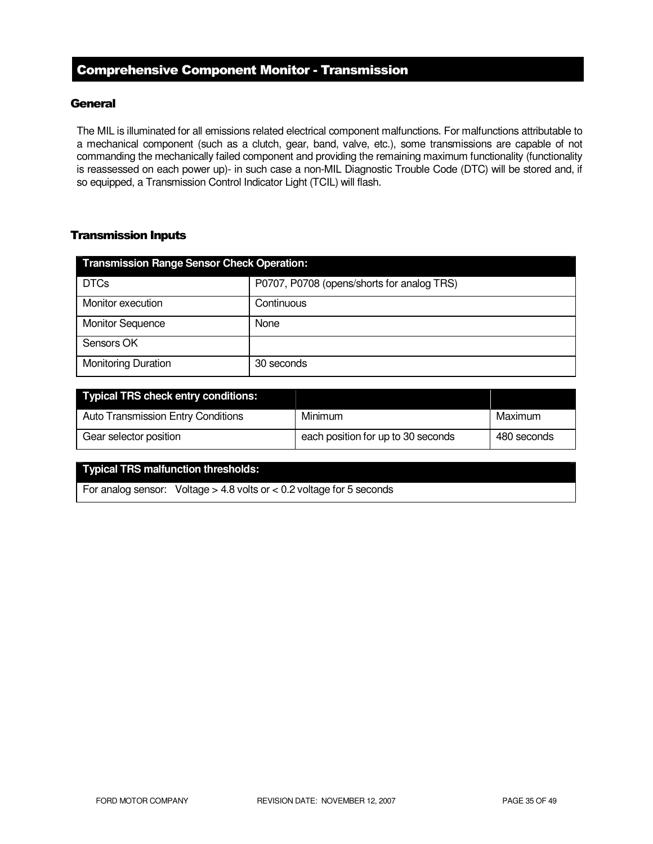# Comprehensive Component Monitor - Transmission

### **General**

The MIL is illuminated for all emissions related electrical component malfunctions. For malfunctions attributable to a mechanical component (such as a clutch, gear, band, valve, etc.), some transmissions are capable of not commanding the mechanically failed component and providing the remaining maximum functionality (functionality is reassessed on each power up)- in such case a non-MIL Diagnostic Trouble Code (DTC) will be stored and, if so equipped, a Transmission Control Indicator Light (TCIL) will flash.

### Transmission Inputs

| <b>Transmission Range Sensor Check Operation:</b> |                                            |  |
|---------------------------------------------------|--------------------------------------------|--|
| <b>DTCs</b>                                       | P0707, P0708 (opens/shorts for analog TRS) |  |
| Monitor execution                                 | Continuous                                 |  |
| <b>Monitor Sequence</b>                           | None                                       |  |
| Sensors OK                                        |                                            |  |
| <b>Monitoring Duration</b>                        | 30 seconds                                 |  |

| Typical TRS check entry conditions:       |                                    |             |
|-------------------------------------------|------------------------------------|-------------|
| <b>Auto Transmission Entry Conditions</b> | Minimum                            | Maximum     |
| Gear selector position                    | each position for up to 30 seconds | 480 seconds |

#### **Typical TRS malfunction thresholds:**

For analog sensor: Voltage > 4.8 volts or < 0.2 voltage for 5 seconds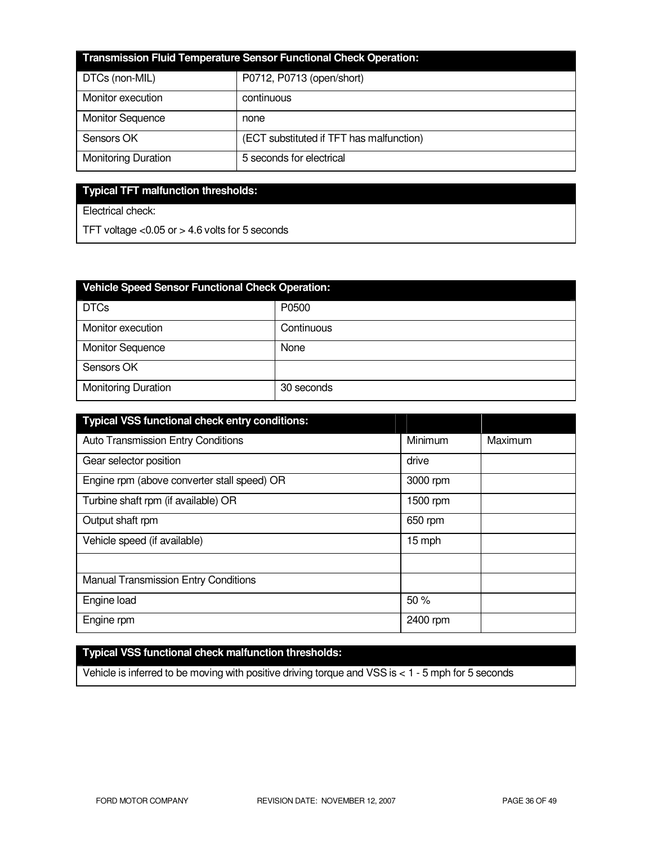| Transmission Fluid Temperature Sensor Functional Check Operation: |                                          |  |
|-------------------------------------------------------------------|------------------------------------------|--|
| DTCs (non-MIL)                                                    | P0712, P0713 (open/short)                |  |
| Monitor execution                                                 | continuous                               |  |
| <b>Monitor Sequence</b>                                           | none                                     |  |
| Sensors OK                                                        | (ECT substituted if TFT has malfunction) |  |
| <b>Monitoring Duration</b>                                        | 5 seconds for electrical                 |  |

# **Typical TFT malfunction thresholds:**

Electrical check:

TFT voltage <0.05 or > 4.6 volts for 5 seconds

| <b>Vehicle Speed Sensor Functional Check Operation:</b> |            |  |
|---------------------------------------------------------|------------|--|
| <b>DTCs</b>                                             | P0500      |  |
| Monitor execution                                       | Continuous |  |
| <b>Monitor Sequence</b>                                 | None       |  |
| Sensors OK                                              |            |  |
| <b>Monitoring Duration</b>                              | 30 seconds |  |

| <b>Typical VSS functional check entry conditions:</b> |          |         |
|-------------------------------------------------------|----------|---------|
| Auto Transmission Entry Conditions                    | Minimum  | Maximum |
| Gear selector position                                | drive    |         |
| Engine rpm (above converter stall speed) OR           | 3000 rpm |         |
| Turbine shaft rpm (if available) OR                   | 1500 rpm |         |
| Output shaft rpm                                      | 650 rpm  |         |
| Vehicle speed (if available)                          | 15 mph   |         |
|                                                       |          |         |
| <b>Manual Transmission Entry Conditions</b>           |          |         |
| Engine load                                           | 50%      |         |
| Engine rpm                                            | 2400 rpm |         |

# **Typical VSS functional check malfunction thresholds:**

Vehicle is inferred to be moving with positive driving torque and VSS is < 1 - 5 mph for 5 seconds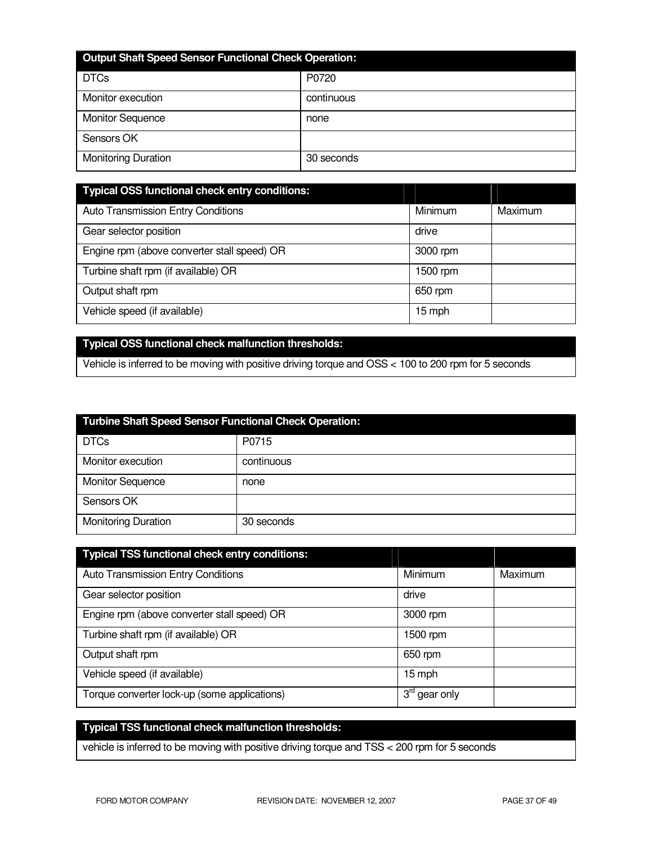| <b>Output Shaft Speed Sensor Functional Check Operation:</b> |            |  |
|--------------------------------------------------------------|------------|--|
| <b>DTCs</b>                                                  | P0720      |  |
| Monitor execution                                            | continuous |  |
| <b>Monitor Sequence</b>                                      | none       |  |
| Sensors OK                                                   |            |  |
| <b>Monitoring Duration</b>                                   | 30 seconds |  |

| Typical OSS functional check entry conditions: |          |         |
|------------------------------------------------|----------|---------|
| <b>Auto Transmission Entry Conditions</b>      | Minimum  | Maximum |
| Gear selector position                         | drive    |         |
| Engine rpm (above converter stall speed) OR    | 3000 rpm |         |
| Turbine shaft rpm (if available) OR            | 1500 rpm |         |
| Output shaft rpm                               | 650 rpm  |         |
| Vehicle speed (if available)                   | 15 mph   |         |

# **Typical OSS functional check malfunction thresholds:**

Vehicle is inferred to be moving with positive driving torque and OSS < 100 to 200 rpm for 5 seconds

| <b>Turbine Shaft Speed Sensor Functional Check Operation:</b> |            |  |
|---------------------------------------------------------------|------------|--|
| <b>DTCs</b>                                                   | P0715      |  |
| Monitor execution                                             | continuous |  |
| <b>Monitor Sequence</b>                                       | none       |  |
| Sensors OK                                                    |            |  |
| <b>Monitoring Duration</b>                                    | 30 seconds |  |

| <b>Typical TSS functional check entry conditions:</b> |                           |         |
|-------------------------------------------------------|---------------------------|---------|
| Auto Transmission Entry Conditions                    | <b>Minimum</b>            | Maximum |
| Gear selector position                                | drive                     |         |
| Engine rpm (above converter stall speed) OR           | 3000 rpm                  |         |
| Turbine shaft rpm (if available) OR                   | 1500 rpm                  |         |
| Output shaft rpm                                      | 650 rpm                   |         |
| Vehicle speed (if available)                          | 15 mph                    |         |
| Torque converter lock-up (some applications)          | 3 <sup>rd</sup> gear only |         |

# **Typical TSS functional check malfunction thresholds:**

vehicle is inferred to be moving with positive driving torque and TSS < 200 rpm for 5 seconds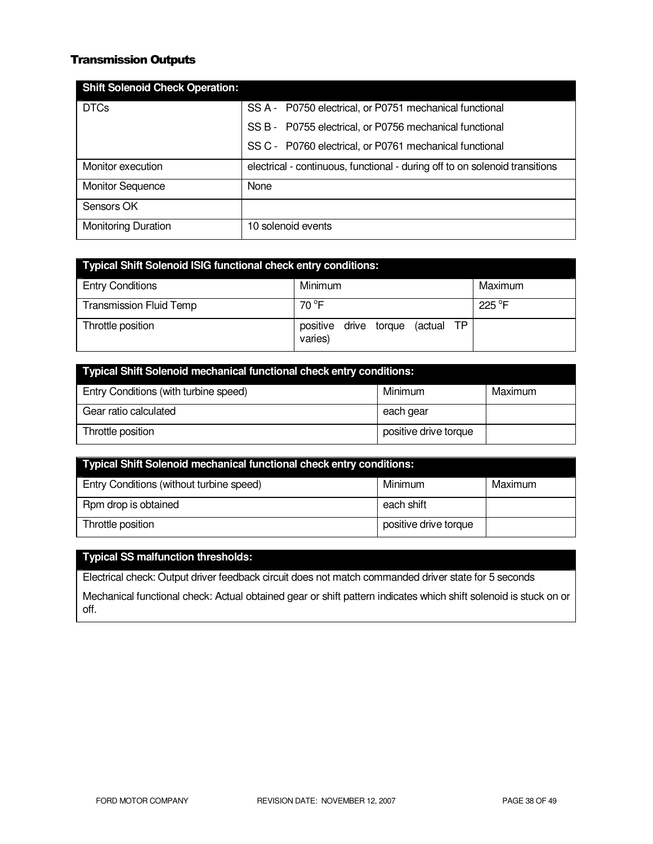### Transmission Outputs

| <b>Shift Solenoid Check Operation:</b> |                                                                             |
|----------------------------------------|-----------------------------------------------------------------------------|
| <b>DTCs</b>                            | SS A - P0750 electrical, or P0751 mechanical functional                     |
|                                        | SS B - P0755 electrical, or P0756 mechanical functional                     |
|                                        | SS C - P0760 electrical, or P0761 mechanical functional                     |
| Monitor execution                      | electrical - continuous, functional - during off to on solenoid transitions |
| <b>Monitor Sequence</b>                | None                                                                        |
| Sensors OK                             |                                                                             |
| <b>Monitoring Duration</b>             | 10 solenoid events                                                          |

| <b>Typical Shift Solenoid ISIG functional check entry conditions:</b> |                                             |         |
|-----------------------------------------------------------------------|---------------------------------------------|---------|
| <b>Entry Conditions</b>                                               | Minimum                                     | Maximum |
| <b>Transmission Fluid Temp</b>                                        | $70^{\circ}$ F                              | 225 °F  |
| Throttle position                                                     | positive drive torque (actual TP<br>varies) |         |

| <b>Typical Shift Solenoid mechanical functional check entry conditions:</b> |                       |         |
|-----------------------------------------------------------------------------|-----------------------|---------|
| Entry Conditions (with turbine speed)                                       | Minimum               | Maximum |
| Gear ratio calculated                                                       | each gear             |         |
| Throttle position                                                           | positive drive torque |         |

| <b>Typical Shift Solenoid mechanical functional check entry conditions:</b> |                       |         |
|-----------------------------------------------------------------------------|-----------------------|---------|
| Entry Conditions (without turbine speed)                                    | Minimum               | Maximum |
| Rpm drop is obtained                                                        | each shift            |         |
| Throttle position                                                           | positive drive torque |         |

# **Typical SS malfunction thresholds:**

Electrical check: Output driver feedback circuit does not match commanded driver state for 5 seconds

Mechanical functional check: Actual obtained gear or shift pattern indicates which shift solenoid is stuck on or off.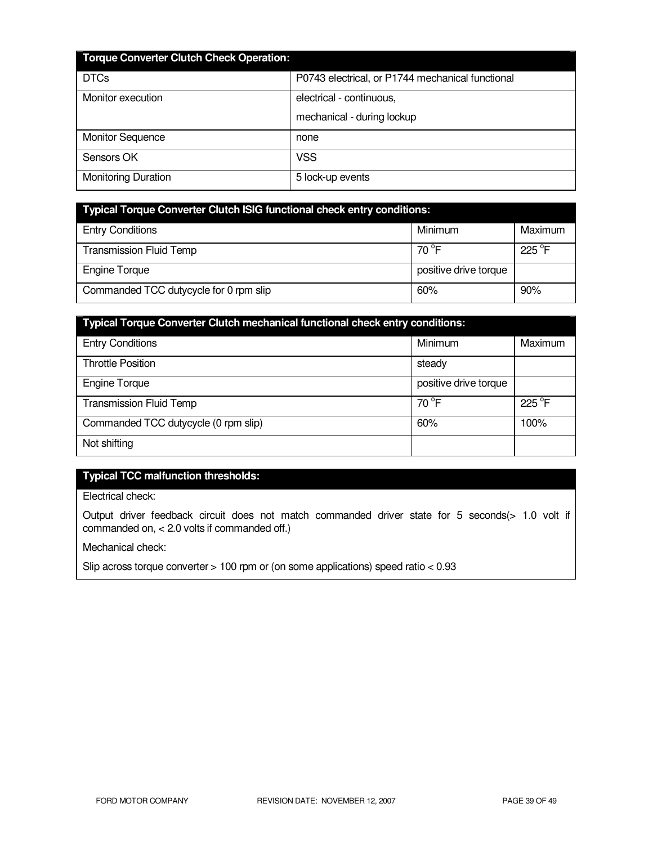| <b>Torque Converter Clutch Check Operation:</b> |                                                  |
|-------------------------------------------------|--------------------------------------------------|
| <b>DTCs</b>                                     | P0743 electrical, or P1744 mechanical functional |
| Monitor execution                               | electrical - continuous,                         |
|                                                 | mechanical - during lockup                       |
| <b>Monitor Sequence</b>                         | none                                             |
| Sensors OK                                      | <b>VSS</b>                                       |
| <b>Monitoring Duration</b>                      | 5 lock-up events                                 |

| <b>Typical Torque Converter Clutch ISIG functional check entry conditions:</b> |                       |                 |
|--------------------------------------------------------------------------------|-----------------------|-----------------|
| <b>Entry Conditions</b>                                                        | Minimum               | Maximum         |
| <b>Transmission Fluid Temp</b>                                                 | 70 $\degree$ F        | $225^{\circ}$ F |
| <b>Engine Torque</b>                                                           | positive drive torque |                 |
| Commanded TCC dutycycle for 0 rpm slip                                         | 60%                   | 90%             |

| Typical Torque Converter Clutch mechanical functional check entry conditions: |                       |                 |
|-------------------------------------------------------------------------------|-----------------------|-----------------|
| <b>Entry Conditions</b>                                                       | Minimum               | Maximum         |
| <b>Throttle Position</b>                                                      | steady                |                 |
| <b>Engine Torque</b>                                                          | positive drive torque |                 |
| <b>Transmission Fluid Temp</b>                                                | $70^{\circ}$ F        | $225^{\circ}$ F |
| Commanded TCC dutycycle (0 rpm slip)                                          | 60%                   | 100%            |
| Not shifting                                                                  |                       |                 |

# **Typical TCC malfunction thresholds:**

Electrical check:

Output driver feedback circuit does not match commanded driver state for 5 seconds(> 1.0 volt if commanded on, < 2.0 volts if commanded off.)

Mechanical check:

Slip across torque converter > 100 rpm or (on some applications) speed ratio < 0.93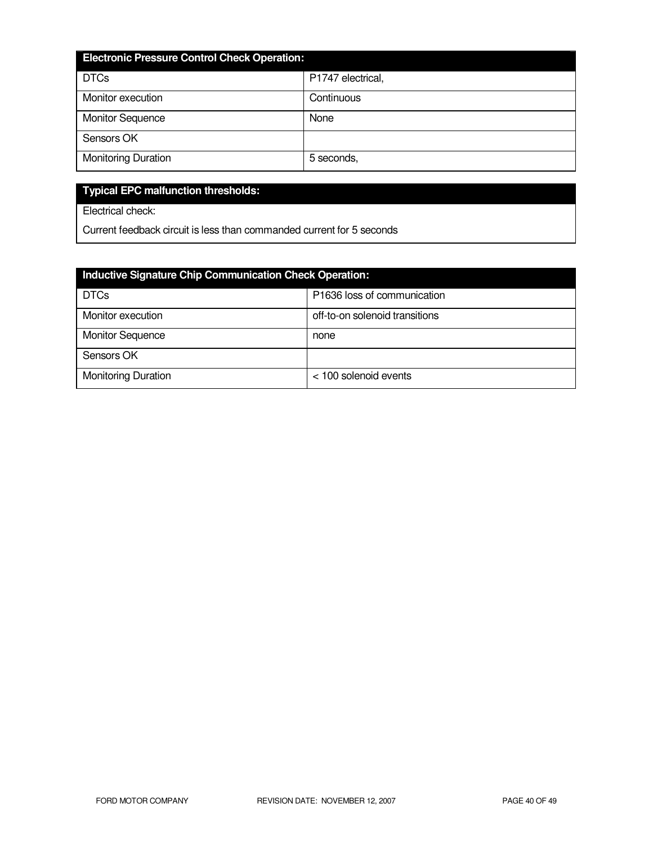| <b>Electronic Pressure Control Check Operation:</b> |                   |  |
|-----------------------------------------------------|-------------------|--|
| <b>DTCs</b>                                         | P1747 electrical, |  |
| Monitor execution                                   | Continuous        |  |
| <b>Monitor Sequence</b>                             | None              |  |
| Sensors OK                                          |                   |  |
| <b>Monitoring Duration</b>                          | 5 seconds,        |  |

# **Typical EPC malfunction thresholds:**

Electrical check:

Current feedback circuit is less than commanded current for 5 seconds

| Inductive Signature Chip Communication Check Operation: |                                |
|---------------------------------------------------------|--------------------------------|
| <b>DTCs</b>                                             | P1636 loss of communication    |
| Monitor execution                                       | off-to-on solenoid transitions |
| <b>Monitor Sequence</b>                                 | none                           |
| Sensors OK                                              |                                |
| <b>Monitoring Duration</b>                              | < 100 solenoid events          |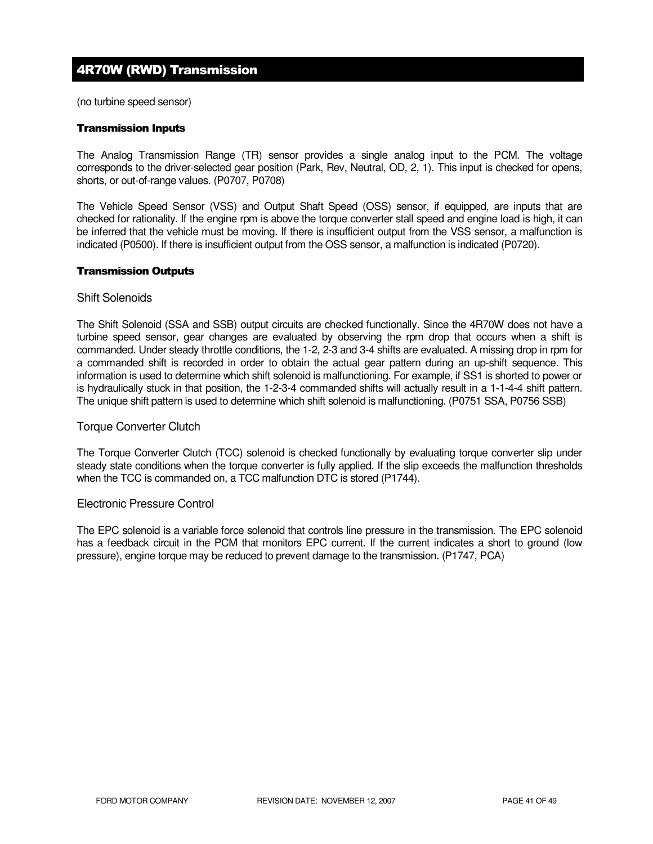# 4R70W (RWD) Transmission

(no turbine speed sensor)

#### Transmission Inputs

The Analog Transmission Range (TR) sensor provides a single analog input to the PCM. The voltage corresponds to the driver-selected gear position (Park, Rev, Neutral, OD, 2, 1). This input is checked for opens, shorts, or out-of-range values. (P0707, P0708)

The Vehicle Speed Sensor (VSS) and Output Shaft Speed (OSS) sensor, if equipped, are inputs that are checked for rationality. If the engine rpm is above the torque converter stall speed and engine load is high, it can be inferred that the vehicle must be moving. If there is insufficient output from the VSS sensor, a malfunction is indicated (P0500). If there is insufficient output from the OSS sensor, a malfunction is indicated (P0720).

#### Transmission Outputs

#### Shift Solenoids

The Shift Solenoid (SSA and SSB) output circuits are checked functionally. Since the 4R70W does not have a turbine speed sensor, gear changes are evaluated by observing the rpm drop that occurs when a shift is commanded. Under steady throttle conditions, the 1-2, 2-3 and 3-4 shifts are evaluated. A missing drop in rpm for a commanded shift is recorded in order to obtain the actual gear pattern during an up-shift sequence. This information is used to determine which shift solenoid is malfunctioning. For example, if SS1 is shorted to power or is hydraulically stuck in that position, the 1-2-3-4 commanded shifts will actually result in a 1-1-4-4 shift pattern. The unique shift pattern is used to determine which shift solenoid is malfunctioning. (P0751 SSA, P0756 SSB)

#### Torque Converter Clutch

The Torque Converter Clutch (TCC) solenoid is checked functionally by evaluating torque converter slip under steady state conditions when the torque converter is fully applied. If the slip exceeds the malfunction thresholds when the TCC is commanded on, a TCC malfunction DTC is stored (P1744).

#### Electronic Pressure Control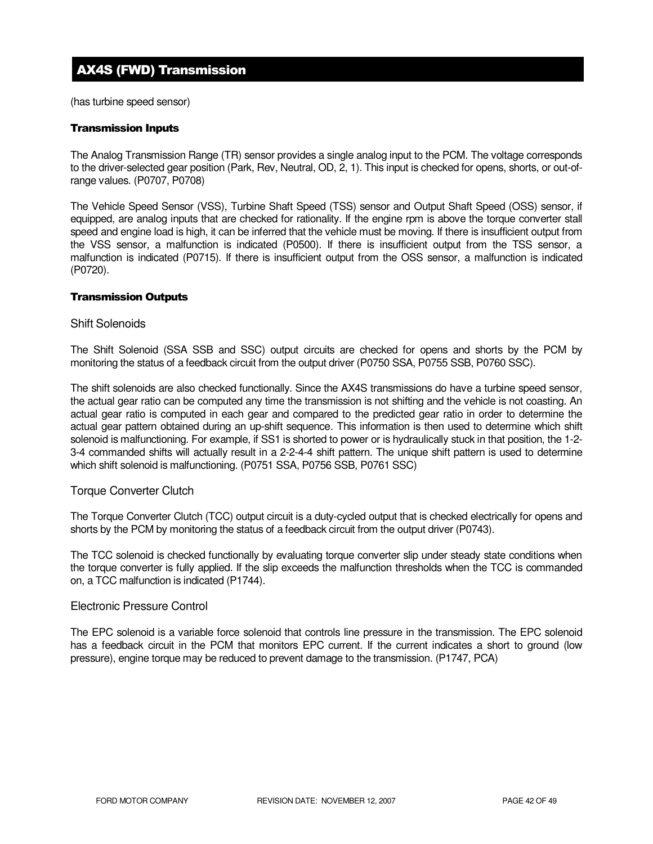# AX4S (FWD) Transmission

(has turbine speed sensor)

#### Transmission Inputs

The Analog Transmission Range (TR) sensor provides a single analog input to the PCM. The voltage corresponds to the driver-selected gear position (Park, Rev, Neutral, OD, 2, 1). This input is checked for opens, shorts, or out-ofrange values. (P0707, P0708)

The Vehicle Speed Sensor (VSS), Turbine Shaft Speed (TSS) sensor and Output Shaft Speed (OSS) sensor, if equipped, are analog inputs that are checked for rationality. If the engine rpm is above the torque converter stall speed and engine load is high, it can be inferred that the vehicle must be moving. If there is insufficient output from the VSS sensor, a malfunction is indicated (P0500). If there is insufficient output from the TSS sensor, a malfunction is indicated (P0715). If there is insufficient output from the OSS sensor, a malfunction is indicated (P0720).

#### Transmission Outputs

#### Shift Solenoids

The Shift Solenoid (SSA SSB and SSC) output circuits are checked for opens and shorts by the PCM by monitoring the status of a feedback circuit from the output driver (P0750 SSA, P0755 SSB, P0760 SSC).

The shift solenoids are also checked functionally. Since the AX4S transmissions do have a turbine speed sensor, the actual gear ratio can be computed any time the transmission is not shifting and the vehicle is not coasting. An actual gear ratio is computed in each gear and compared to the predicted gear ratio in order to determine the actual gear pattern obtained during an up-shift sequence. This information is then used to determine which shift solenoid is malfunctioning. For example, if SS1 is shorted to power or is hydraulically stuck in that position, the 1-2- 3-4 commanded shifts will actually result in a 2-2-4-4 shift pattern. The unique shift pattern is used to determine which shift solenoid is malfunctioning. (P0751 SSA, P0756 SSB, P0761 SSC)

#### Torque Converter Clutch

The Torque Converter Clutch (TCC) output circuit is a duty-cycled output that is checked electrically for opens and shorts by the PCM by monitoring the status of a feedback circuit from the output driver (P0743).

The TCC solenoid is checked functionally by evaluating torque converter slip under steady state conditions when the torque converter is fully applied. If the slip exceeds the malfunction thresholds when the TCC is commanded on, a TCC malfunction is indicated (P1744).

#### Electronic Pressure Control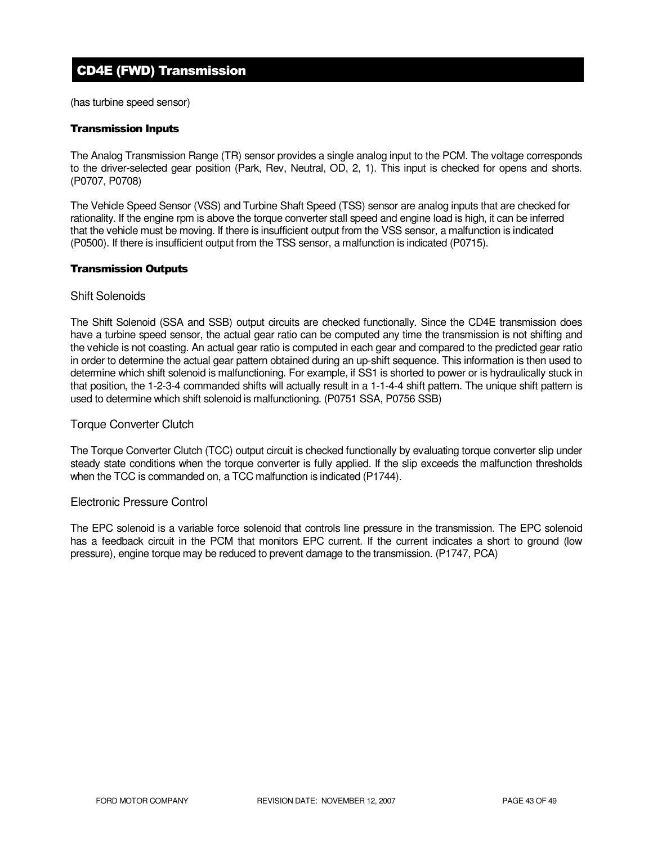# CD4E (FWD) Transmission

(has turbine speed sensor)

#### Transmission Inputs

The Analog Transmission Range (TR) sensor provides a single analog input to the PCM. The voltage corresponds to the driver-selected gear position (Park, Rev, Neutral, OD, 2, 1). This input is checked for opens and shorts. (P0707, P0708)

The Vehicle Speed Sensor (VSS) and Turbine Shaft Speed (TSS) sensor are analog inputs that are checked for rationality. If the engine rpm is above the torque converter stall speed and engine load is high, it can be inferred that the vehicle must be moving. If there is insufficient output from the VSS sensor, a malfunction is indicated (P0500). If there is insufficient output from the TSS sensor, a malfunction is indicated (P0715).

#### Transmission Outputs

#### Shift Solenoids

The Shift Solenoid (SSA and SSB) output circuits are checked functionally. Since the CD4E transmission does have a turbine speed sensor, the actual gear ratio can be computed any time the transmission is not shifting and the vehicle is not coasting. An actual gear ratio is computed in each gear and compared to the predicted gear ratio in order to determine the actual gear pattern obtained during an up-shift sequence. This information is then used to determine which shift solenoid is malfunctioning. For example, if SS1 is shorted to power or is hydraulically stuck in that position, the 1-2-3-4 commanded shifts will actually result in a 1-1-4-4 shift pattern. The unique shift pattern is used to determine which shift solenoid is malfunctioning. (P0751 SSA, P0756 SSB)

#### Torque Converter Clutch

The Torque Converter Clutch (TCC) output circuit is checked functionally by evaluating torque converter slip under steady state conditions when the torque converter is fully applied. If the slip exceeds the malfunction thresholds when the TCC is commanded on, a TCC malfunction is indicated (P1744).

#### Electronic Pressure Control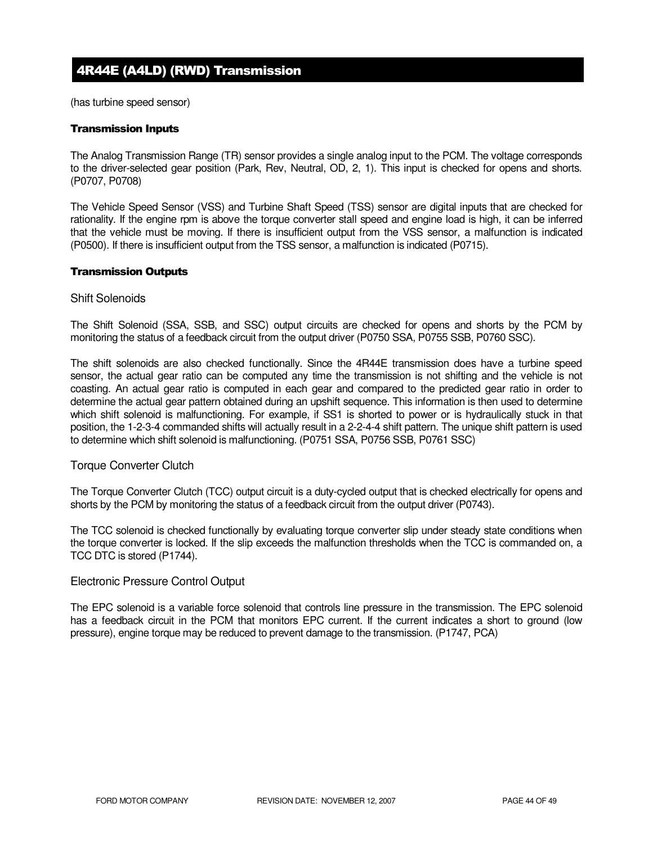# 4R44E (A4LD) (RWD) Transmission

(has turbine speed sensor)

#### Transmission Inputs

The Analog Transmission Range (TR) sensor provides a single analog input to the PCM. The voltage corresponds to the driver-selected gear position (Park, Rev, Neutral, OD, 2, 1). This input is checked for opens and shorts. (P0707, P0708)

The Vehicle Speed Sensor (VSS) and Turbine Shaft Speed (TSS) sensor are digital inputs that are checked for rationality. If the engine rpm is above the torque converter stall speed and engine load is high, it can be inferred that the vehicle must be moving. If there is insufficient output from the VSS sensor, a malfunction is indicated (P0500). If there is insufficient output from the TSS sensor, a malfunction is indicated (P0715).

#### Transmission Outputs

#### Shift Solenoids

The Shift Solenoid (SSA, SSB, and SSC) output circuits are checked for opens and shorts by the PCM by monitoring the status of a feedback circuit from the output driver (P0750 SSA, P0755 SSB, P0760 SSC).

The shift solenoids are also checked functionally. Since the 4R44E transmission does have a turbine speed sensor, the actual gear ratio can be computed any time the transmission is not shifting and the vehicle is not coasting. An actual gear ratio is computed in each gear and compared to the predicted gear ratio in order to determine the actual gear pattern obtained during an upshift sequence. This information is then used to determine which shift solenoid is malfunctioning. For example, if SS1 is shorted to power or is hydraulically stuck in that position, the 1-2-3-4 commanded shifts will actually result in a 2-2-4-4 shift pattern. The unique shift pattern is used to determine which shift solenoid is malfunctioning. (P0751 SSA, P0756 SSB, P0761 SSC)

#### Torque Converter Clutch

The Torque Converter Clutch (TCC) output circuit is a duty-cycled output that is checked electrically for opens and shorts by the PCM by monitoring the status of a feedback circuit from the output driver (P0743).

The TCC solenoid is checked functionally by evaluating torque converter slip under steady state conditions when the torque converter is locked. If the slip exceeds the malfunction thresholds when the TCC is commanded on, a TCC DTC is stored (P1744).

#### Electronic Pressure Control Output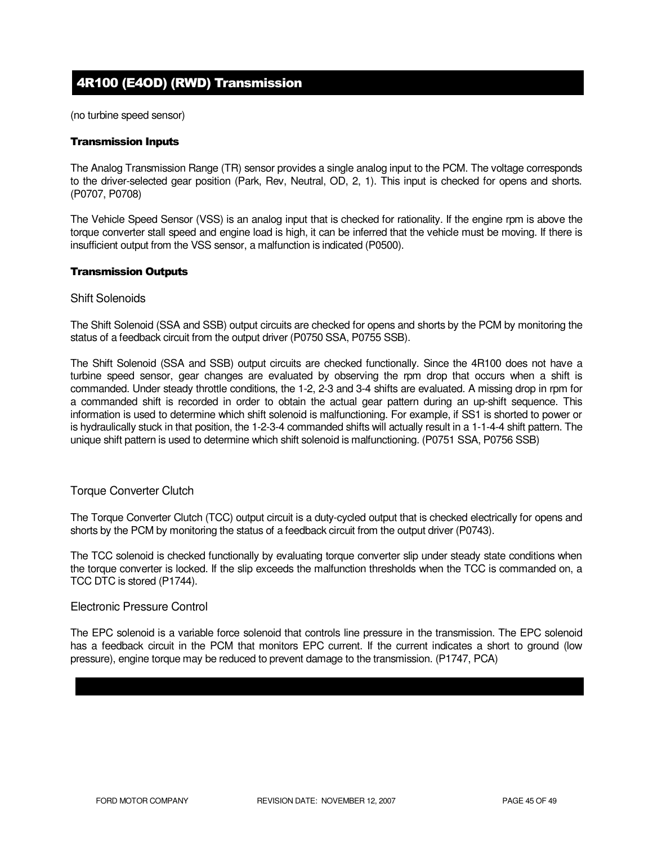# 4R100 (E4OD) (RWD) Transmission

(no turbine speed sensor)

#### Transmission Inputs

The Analog Transmission Range (TR) sensor provides a single analog input to the PCM. The voltage corresponds to the driver-selected gear position (Park, Rev, Neutral, OD, 2, 1). This input is checked for opens and shorts. (P0707, P0708)

The Vehicle Speed Sensor (VSS) is an analog input that is checked for rationality. If the engine rpm is above the torque converter stall speed and engine load is high, it can be inferred that the vehicle must be moving. If there is insufficient output from the VSS sensor, a malfunction is indicated (P0500).

#### Transmission Outputs

#### Shift Solenoids

The Shift Solenoid (SSA and SSB) output circuits are checked for opens and shorts by the PCM by monitoring the status of a feedback circuit from the output driver (P0750 SSA, P0755 SSB).

The Shift Solenoid (SSA and SSB) output circuits are checked functionally. Since the 4R100 does not have a turbine speed sensor, gear changes are evaluated by observing the rpm drop that occurs when a shift is commanded. Under steady throttle conditions, the 1-2, 2-3 and 3-4 shifts are evaluated. A missing drop in rpm for a commanded shift is recorded in order to obtain the actual gear pattern during an up-shift sequence. This information is used to determine which shift solenoid is malfunctioning. For example, if SS1 is shorted to power or is hydraulically stuck in that position, the 1-2-3-4 commanded shifts will actually result in a 1-1-4-4 shift pattern. The unique shift pattern is used to determine which shift solenoid is malfunctioning. (P0751 SSA, P0756 SSB)

#### Torque Converter Clutch

The Torque Converter Clutch (TCC) output circuit is a duty-cycled output that is checked electrically for opens and shorts by the PCM by monitoring the status of a feedback circuit from the output driver (P0743).

The TCC solenoid is checked functionally by evaluating torque converter slip under steady state conditions when the torque converter is locked. If the slip exceeds the malfunction thresholds when the TCC is commanded on, a TCC DTC is stored (P1744).

#### Electronic Pressure Control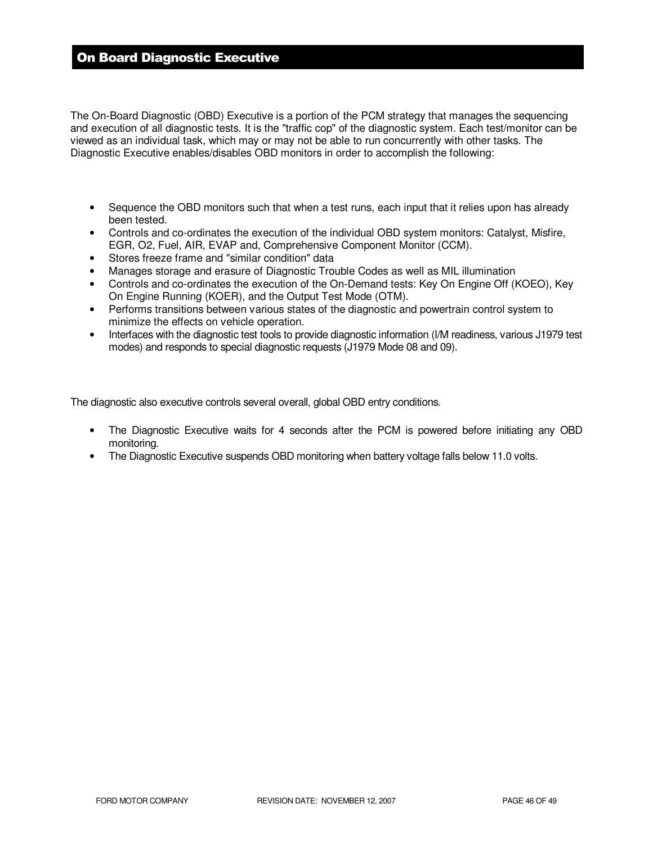# On Board Diagnostic Executive

The On-Board Diagnostic (OBD) Executive is a portion of the PCM strategy that manages the sequencing and execution of all diagnostic tests. It is the "traffic cop" of the diagnostic system. Each test/monitor can be viewed as an individual task, which may or may not be able to run concurrently with other tasks. The Diagnostic Executive enables/disables OBD monitors in order to accomplish the following:

- Sequence the OBD monitors such that when a test runs, each input that it relies upon has already been tested.
- Controls and co-ordinates the execution of the individual OBD system monitors: Catalyst, Misfire, EGR, O2, Fuel, AIR, EVAP and, Comprehensive Component Monitor (CCM).
- Stores freeze frame and "similar condition" data
- Manages storage and erasure of Diagnostic Trouble Codes as well as MIL illumination
- Controls and co-ordinates the execution of the On-Demand tests: Key On Engine Off (KOEO), Key On Engine Running (KOER), and the Output Test Mode (OTM).
- Performs transitions between various states of the diagnostic and powertrain control system to minimize the effects on vehicle operation.
- Interfaces with the diagnostic test tools to provide diagnostic information (I/M readiness, various J1979 test modes) and responds to special diagnostic requests (J1979 Mode 08 and 09).

The diagnostic also executive controls several overall, global OBD entry conditions.

- The Diagnostic Executive waits for 4 seconds after the PCM is powered before initiating any OBD monitoring.
- The Diagnostic Executive suspends OBD monitoring when battery voltage falls below 11.0 volts.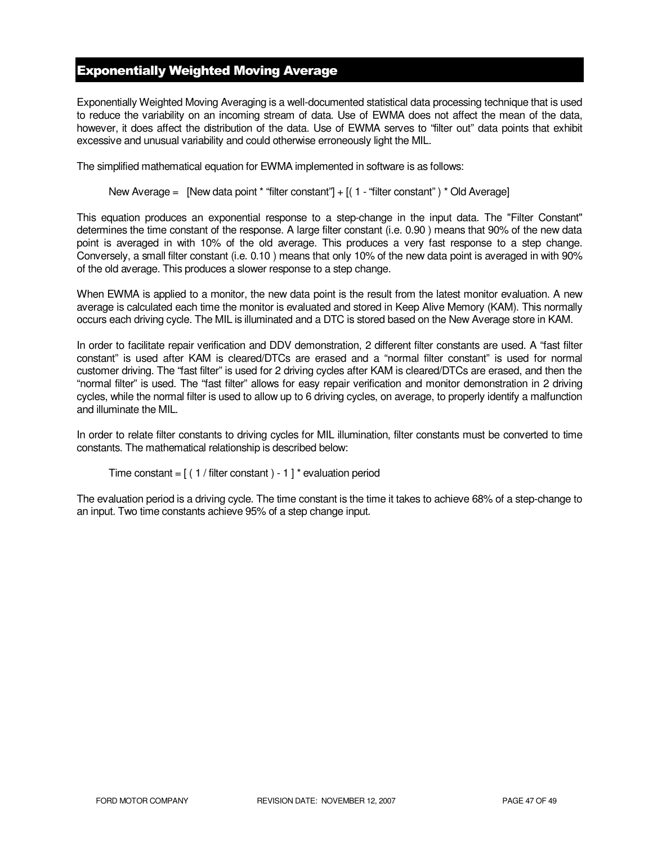# Exponentially Weighted Moving Average

Exponentially Weighted Moving Averaging is a well-documented statistical data processing technique that is used to reduce the variability on an incoming stream of data. Use of EWMA does not affect the mean of the data, however, it does affect the distribution of the data. Use of EWMA serves to "filter out" data points that exhibit excessive and unusual variability and could otherwise erroneously light the MIL.

The simplified mathematical equation for EWMA implemented in software is as follows:

New Average = [New data point \* "filter constant"] + [( 1 - "filter constant" ) \* Old Average]

This equation produces an exponential response to a step-change in the input data. The "Filter Constant" determines the time constant of the response. A large filter constant (i.e. 0.90 ) means that 90% of the new data point is averaged in with 10% of the old average. This produces a very fast response to a step change. Conversely, a small filter constant (i.e. 0.10 ) means that only 10% of the new data point is averaged in with 90% of the old average. This produces a slower response to a step change.

When EWMA is applied to a monitor, the new data point is the result from the latest monitor evaluation. A new average is calculated each time the monitor is evaluated and stored in Keep Alive Memory (KAM). This normally occurs each driving cycle. The MIL is illuminated and a DTC is stored based on the New Average store in KAM.

In order to facilitate repair verification and DDV demonstration, 2 different filter constants are used. A "fast filter constant" is used after KAM is cleared/DTCs are erased and a "normal filter constant" is used for normal customer driving. The "fast filter" is used for 2 driving cycles after KAM is cleared/DTCs are erased, and then the "normal filter" is used. The "fast filter" allows for easy repair verification and monitor demonstration in 2 driving cycles, while the normal filter is used to allow up to 6 driving cycles, on average, to properly identify a malfunction and illuminate the MIL.

In order to relate filter constants to driving cycles for MIL illumination, filter constants must be converted to time constants. The mathematical relationship is described below:

```
Time constant = [(1 / \text{filter constant}) - 1]^* evaluation period
```
The evaluation period is a driving cycle. The time constant is the time it takes to achieve 68% of a step-change to an input. Two time constants achieve 95% of a step change input.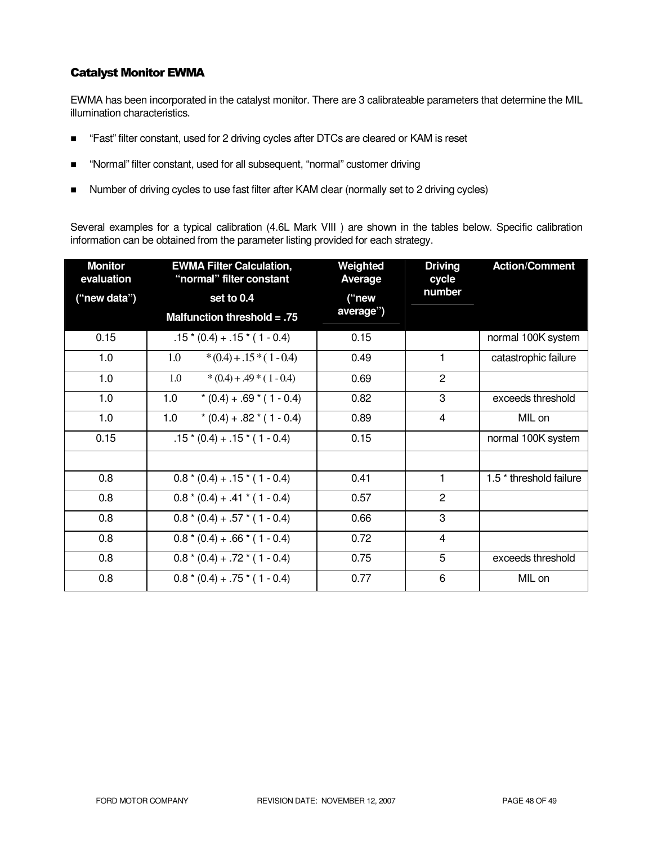### Catalyst Monitor EWMA

EWMA has been incorporated in the catalyst monitor. There are 3 calibrateable parameters that determine the MIL illumination characteristics.

- "Fast" filter constant, used for 2 driving cycles after DTCs are cleared or KAM is reset
- "Normal" filter constant, used for all subsequent, "normal" customer driving
- Number of driving cycles to use fast filter after KAM clear (normally set to 2 driving cycles)

Several examples for a typical calibration (4.6L Mark VIII ) are shown in the tables below. Specific calibration information can be obtained from the parameter listing provided for each strategy.

| <b>Monitor</b><br>evaluation | <b>EWMA Filter Calculation,</b><br>"normal" filter constant | Weighted<br>Average | <b>Driving</b><br>cycle | <b>Action/Comment</b>              |
|------------------------------|-------------------------------------------------------------|---------------------|-------------------------|------------------------------------|
| ("new data")                 | set to 0.4                                                  | ("new               | number                  |                                    |
|                              | Malfunction threshold $= .75$                               | average")           |                         |                                    |
| 0.15                         | $.15*(0.4) + .15*(1 - 0.4)$                                 | 0.15                |                         | normal 100K system                 |
| 1.0                          | $*(0.4) + .15*(1 - 0.4)$<br>1.0                             | 0.49                | 1                       | catastrophic failure               |
| 1.0                          | 1.0<br>$*(0.4) + .49 * (1 - 0.4)$                           | 0.69                | $\overline{2}$          |                                    |
| 1.0                          | 1.0<br>$*(0.4) + .69 * (1 - 0.4)$                           | 0.82                | 3                       | exceeds threshold                  |
| 1.0                          | 1.0<br>$*(0.4) + .82 * (1 - 0.4)$                           | 0.89                | 4                       | MIL on                             |
| 0.15                         | $.15*(0.4) + .15*(1 - 0.4)$                                 | 0.15                |                         | normal 100K system                 |
|                              |                                                             |                     |                         |                                    |
| 0.8                          | $0.8*(0.4) + .15*(1 - 0.4)$                                 | 0.41                | 1.                      | 1.5 <sup>*</sup> threshold failure |
| 0.8                          | $0.8*(0.4) + .41*(1 - 0.4)$                                 | 0.57                | $\overline{2}$          |                                    |
| 0.8                          | $0.8*(0.4) + .57*(1 - 0.4)$                                 | 0.66                | 3                       |                                    |
| 0.8                          | $0.8*(0.4) + .66*(1 - 0.4)$                                 | 0.72                | 4                       |                                    |
| 0.8                          | $0.8*(0.4) + .72*(1 - 0.4)$                                 | 0.75                | 5                       | exceeds threshold                  |
| 0.8                          | $0.8*(0.4) + .75*(1 - 0.4)$                                 | 0.77                | 6                       | MIL on                             |